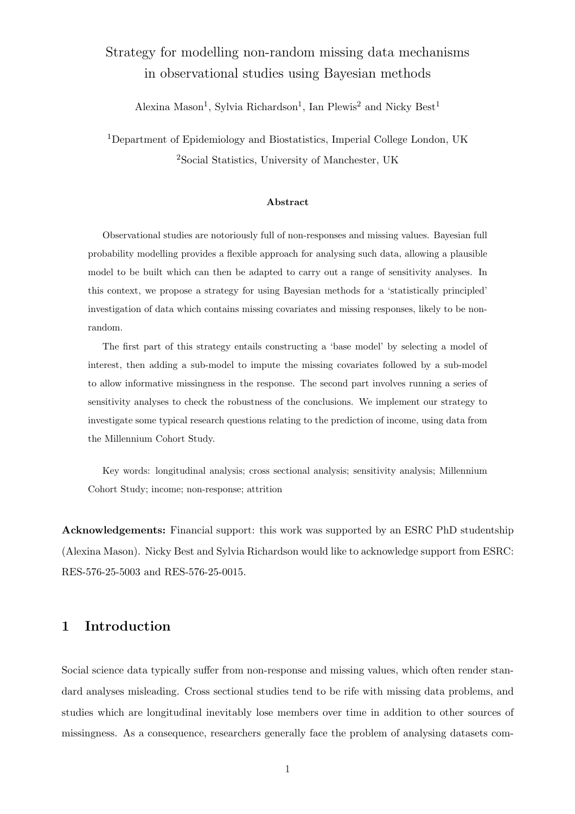# Strategy for modelling non-random missing data mechanisms in observational studies using Bayesian methods

Alexina Mason<sup>1</sup>, Sylvia Richardson<sup>1</sup>, Ian Plewis<sup>2</sup> and Nicky Best<sup>1</sup>

<sup>1</sup>Department of Epidemiology and Biostatistics, Imperial College London, UK <sup>2</sup>Social Statistics, University of Manchester, UK

#### Abstract

Observational studies are notoriously full of non-responses and missing values. Bayesian full probability modelling provides a flexible approach for analysing such data, allowing a plausible model to be built which can then be adapted to carry out a range of sensitivity analyses. In this context, we propose a strategy for using Bayesian methods for a 'statistically principled' investigation of data which contains missing covariates and missing responses, likely to be nonrandom.

The first part of this strategy entails constructing a 'base model' by selecting a model of interest, then adding a sub-model to impute the missing covariates followed by a sub-model to allow informative missingness in the response. The second part involves running a series of sensitivity analyses to check the robustness of the conclusions. We implement our strategy to investigate some typical research questions relating to the prediction of income, using data from the Millennium Cohort Study.

Key words: longitudinal analysis; cross sectional analysis; sensitivity analysis; Millennium Cohort Study; income; non-response; attrition

Acknowledgements: Financial support: this work was supported by an ESRC PhD studentship (Alexina Mason). Nicky Best and Sylvia Richardson would like to acknowledge support from ESRC: RES-576-25-5003 and RES-576-25-0015.

# 1 Introduction

Social science data typically suffer from non-response and missing values, which often render standard analyses misleading. Cross sectional studies tend to be rife with missing data problems, and studies which are longitudinal inevitably lose members over time in addition to other sources of missingness. As a consequence, researchers generally face the problem of analysing datasets com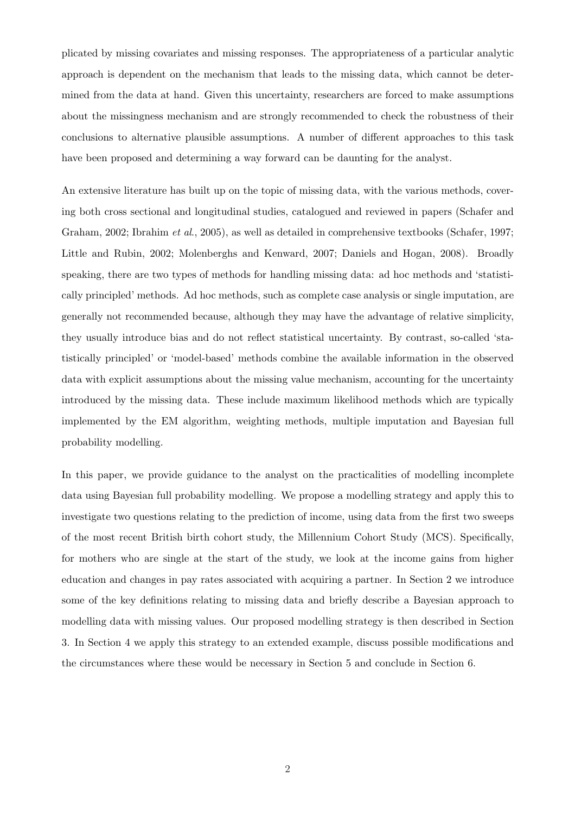plicated by missing covariates and missing responses. The appropriateness of a particular analytic approach is dependent on the mechanism that leads to the missing data, which cannot be determined from the data at hand. Given this uncertainty, researchers are forced to make assumptions about the missingness mechanism and are strongly recommended to check the robustness of their conclusions to alternative plausible assumptions. A number of different approaches to this task have been proposed and determining a way forward can be daunting for the analyst.

An extensive literature has built up on the topic of missing data, with the various methods, covering both cross sectional and longitudinal studies, catalogued and reviewed in papers (Schafer and Graham, 2002; Ibrahim et al., 2005), as well as detailed in comprehensive textbooks (Schafer, 1997; Little and Rubin, 2002; Molenberghs and Kenward, 2007; Daniels and Hogan, 2008). Broadly speaking, there are two types of methods for handling missing data: ad hoc methods and 'statistically principled' methods. Ad hoc methods, such as complete case analysis or single imputation, are generally not recommended because, although they may have the advantage of relative simplicity, they usually introduce bias and do not reflect statistical uncertainty. By contrast, so-called 'statistically principled' or 'model-based' methods combine the available information in the observed data with explicit assumptions about the missing value mechanism, accounting for the uncertainty introduced by the missing data. These include maximum likelihood methods which are typically implemented by the EM algorithm, weighting methods, multiple imputation and Bayesian full probability modelling.

In this paper, we provide guidance to the analyst on the practicalities of modelling incomplete data using Bayesian full probability modelling. We propose a modelling strategy and apply this to investigate two questions relating to the prediction of income, using data from the first two sweeps of the most recent British birth cohort study, the Millennium Cohort Study (MCS). Specifically, for mothers who are single at the start of the study, we look at the income gains from higher education and changes in pay rates associated with acquiring a partner. In Section 2 we introduce some of the key definitions relating to missing data and briefly describe a Bayesian approach to modelling data with missing values. Our proposed modelling strategy is then described in Section 3. In Section 4 we apply this strategy to an extended example, discuss possible modifications and the circumstances where these would be necessary in Section 5 and conclude in Section 6.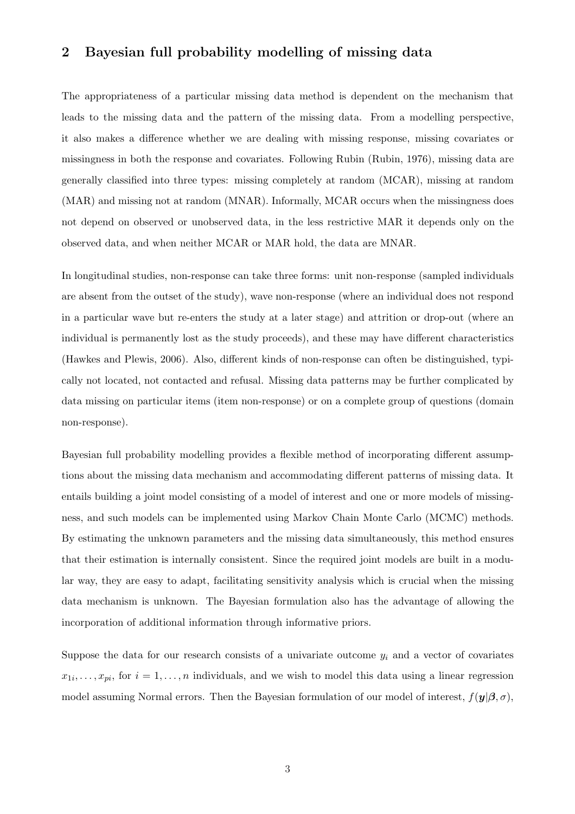# 2 Bayesian full probability modelling of missing data

The appropriateness of a particular missing data method is dependent on the mechanism that leads to the missing data and the pattern of the missing data. From a modelling perspective, it also makes a difference whether we are dealing with missing response, missing covariates or missingness in both the response and covariates. Following Rubin (Rubin, 1976), missing data are generally classified into three types: missing completely at random (MCAR), missing at random (MAR) and missing not at random (MNAR). Informally, MCAR occurs when the missingness does not depend on observed or unobserved data, in the less restrictive MAR it depends only on the observed data, and when neither MCAR or MAR hold, the data are MNAR.

In longitudinal studies, non-response can take three forms: unit non-response (sampled individuals are absent from the outset of the study), wave non-response (where an individual does not respond in a particular wave but re-enters the study at a later stage) and attrition or drop-out (where an individual is permanently lost as the study proceeds), and these may have different characteristics (Hawkes and Plewis, 2006). Also, different kinds of non-response can often be distinguished, typically not located, not contacted and refusal. Missing data patterns may be further complicated by data missing on particular items (item non-response) or on a complete group of questions (domain non-response).

Bayesian full probability modelling provides a flexible method of incorporating different assumptions about the missing data mechanism and accommodating different patterns of missing data. It entails building a joint model consisting of a model of interest and one or more models of missingness, and such models can be implemented using Markov Chain Monte Carlo (MCMC) methods. By estimating the unknown parameters and the missing data simultaneously, this method ensures that their estimation is internally consistent. Since the required joint models are built in a modular way, they are easy to adapt, facilitating sensitivity analysis which is crucial when the missing data mechanism is unknown. The Bayesian formulation also has the advantage of allowing the incorporation of additional information through informative priors.

Suppose the data for our research consists of a univariate outcome  $y_i$  and a vector of covariates  $x_{1i}, \ldots, x_{pi}$ , for  $i = 1, \ldots, n$  individuals, and we wish to model this data using a linear regression model assuming Normal errors. Then the Bayesian formulation of our model of interest,  $f(\mathbf{y}|\beta, \sigma)$ ,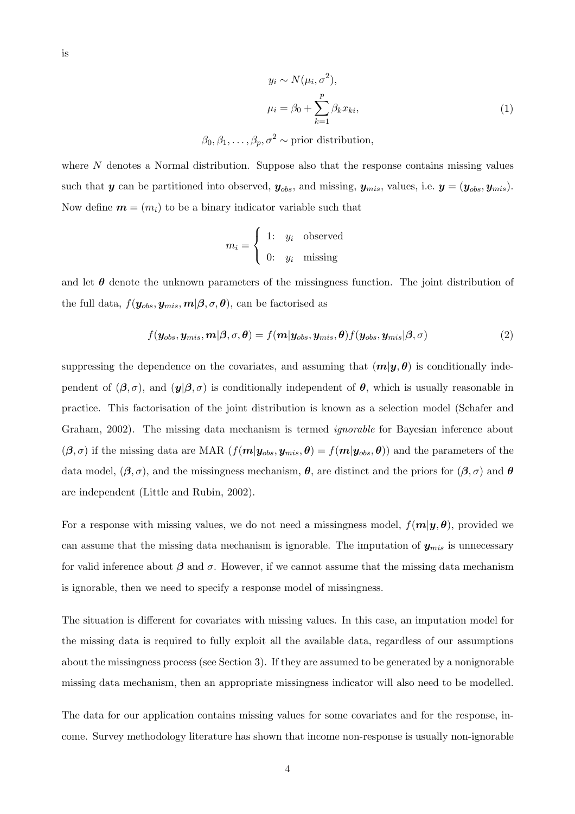$$
y_i \sim N(\mu_i, \sigma^2),
$$
  

$$
\mu_i = \beta_0 + \sum_{k=1}^p \beta_k x_{ki},
$$
 (1)

 $\beta_0, \beta_1, \ldots, \beta_p, \sigma^2 \sim \text{prior distribution},$ 

where  $N$  denotes a Normal distribution. Suppose also that the response contains missing values such that y can be partitioned into observed,  $y_{obs}$ , and missing,  $y_{mis}$ , values, i.e.  $y = (y_{obs}, y_{mis})$ . Now define  $\mathbf{m} = (m_i)$  to be a binary indicator variable such that

$$
m_i = \begin{cases} 1: & y_i \text{ observed} \\ 0: & y_i \text{ missing} \end{cases}
$$

and let  $\theta$  denote the unknown parameters of the missingness function. The joint distribution of the full data,  $f(\mathbf{y}_{obs}, \mathbf{y}_{mis}, m | \boldsymbol{\beta}, \sigma, \boldsymbol{\theta})$ , can be factorised as

$$
f(\mathbf{y}_{obs}, \mathbf{y}_{mis}, \mathbf{m}|\boldsymbol{\beta}, \sigma, \boldsymbol{\theta}) = f(\mathbf{m}|\mathbf{y}_{obs}, \mathbf{y}_{mis}, \boldsymbol{\theta}) f(\mathbf{y}_{obs}, \mathbf{y}_{mis}|\boldsymbol{\beta}, \sigma)
$$
(2)

suppressing the dependence on the covariates, and assuming that  $(m|\mathbf{y}, \theta)$  is conditionally independent of  $(\beta, \sigma)$ , and  $(\mathbf{y}|\beta, \sigma)$  is conditionally independent of  $\theta$ , which is usually reasonable in practice. This factorisation of the joint distribution is known as a selection model (Schafer and Graham, 2002). The missing data mechanism is termed ignorable for Bayesian inference about  $(\beta, \sigma)$  if the missing data are MAR  $(f(m|y_{obs}, y_{mis}, \theta) = f(m|y_{obs}, \theta))$  and the parameters of the data model,  $(\beta, \sigma)$ , and the missingness mechanism,  $\theta$ , are distinct and the priors for  $(\beta, \sigma)$  and  $\theta$ are independent (Little and Rubin, 2002).

For a response with missing values, we do not need a missingness model,  $f(m|y, \theta)$ , provided we can assume that the missing data mechanism is ignorable. The imputation of  $y_{mis}$  is unnecessary for valid inference about  $\beta$  and  $\sigma$ . However, if we cannot assume that the missing data mechanism is ignorable, then we need to specify a response model of missingness.

The situation is different for covariates with missing values. In this case, an imputation model for the missing data is required to fully exploit all the available data, regardless of our assumptions about the missingness process (see Section 3). If they are assumed to be generated by a nonignorable missing data mechanism, then an appropriate missingness indicator will also need to be modelled.

The data for our application contains missing values for some covariates and for the response, income. Survey methodology literature has shown that income non-response is usually non-ignorable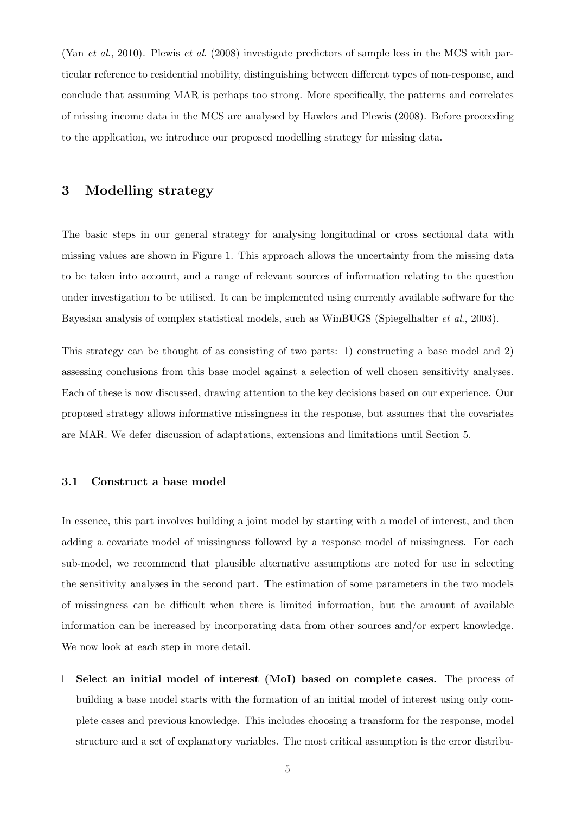(Yan et al., 2010). Plewis et al. (2008) investigate predictors of sample loss in the MCS with particular reference to residential mobility, distinguishing between different types of non-response, and conclude that assuming MAR is perhaps too strong. More specifically, the patterns and correlates of missing income data in the MCS are analysed by Hawkes and Plewis (2008). Before proceeding to the application, we introduce our proposed modelling strategy for missing data.

# 3 Modelling strategy

The basic steps in our general strategy for analysing longitudinal or cross sectional data with missing values are shown in Figure 1. This approach allows the uncertainty from the missing data to be taken into account, and a range of relevant sources of information relating to the question under investigation to be utilised. It can be implemented using currently available software for the Bayesian analysis of complex statistical models, such as WinBUGS (Spiegelhalter et al., 2003).

This strategy can be thought of as consisting of two parts: 1) constructing a base model and 2) assessing conclusions from this base model against a selection of well chosen sensitivity analyses. Each of these is now discussed, drawing attention to the key decisions based on our experience. Our proposed strategy allows informative missingness in the response, but assumes that the covariates are MAR. We defer discussion of adaptations, extensions and limitations until Section 5.

### 3.1 Construct a base model

In essence, this part involves building a joint model by starting with a model of interest, and then adding a covariate model of missingness followed by a response model of missingness. For each sub-model, we recommend that plausible alternative assumptions are noted for use in selecting the sensitivity analyses in the second part. The estimation of some parameters in the two models of missingness can be difficult when there is limited information, but the amount of available information can be increased by incorporating data from other sources and/or expert knowledge. We now look at each step in more detail.

1 Select an initial model of interest (MoI) based on complete cases. The process of building a base model starts with the formation of an initial model of interest using only complete cases and previous knowledge. This includes choosing a transform for the response, model structure and a set of explanatory variables. The most critical assumption is the error distribu-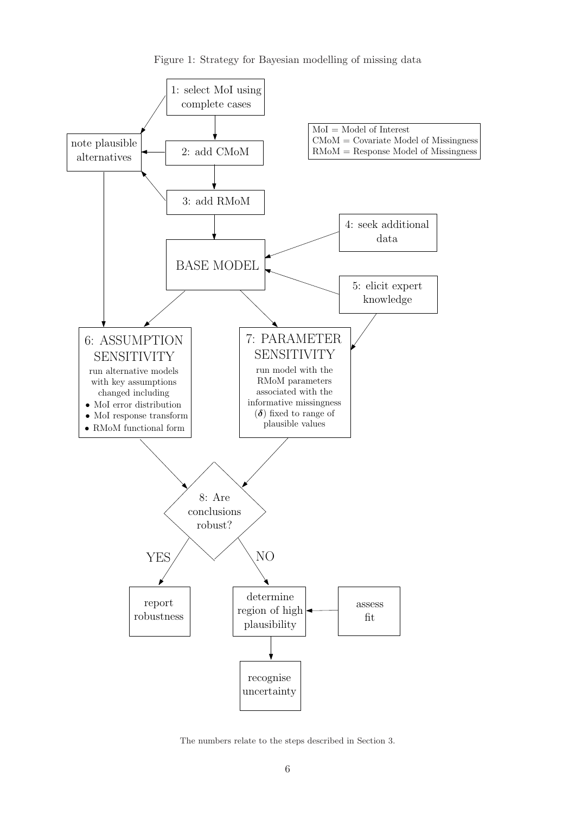

Figure 1: Strategy for Bayesian modelling of missing data

The numbers relate to the steps described in Section 3.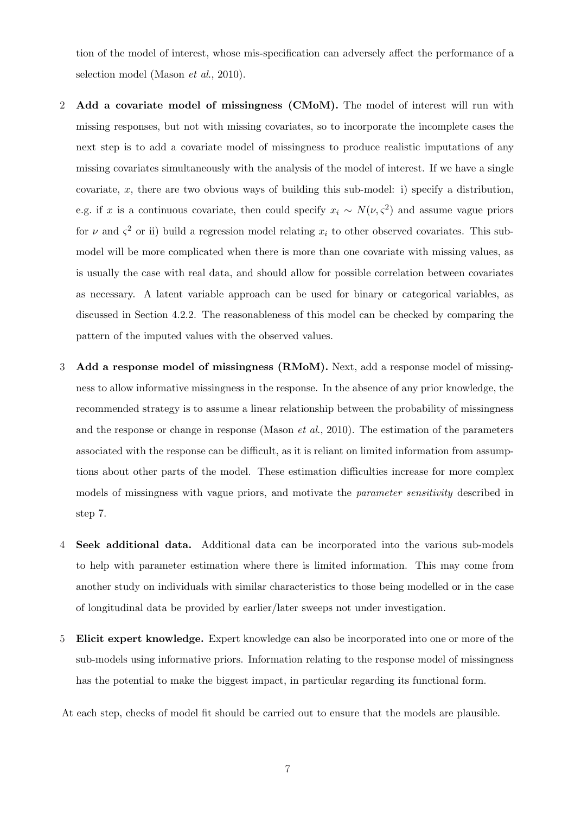tion of the model of interest, whose mis-specification can adversely affect the performance of a selection model (Mason et al., 2010).

- 2 Add a covariate model of missingness (CMoM). The model of interest will run with missing responses, but not with missing covariates, so to incorporate the incomplete cases the next step is to add a covariate model of missingness to produce realistic imputations of any missing covariates simultaneously with the analysis of the model of interest. If we have a single covariate, x, there are two obvious ways of building this sub-model: i) specify a distribution, e.g. if x is a continuous covariate, then could specify  $x_i \sim N(\nu, \varsigma^2)$  and assume vague priors for  $\nu$  and  $\zeta^2$  or ii) build a regression model relating  $x_i$  to other observed covariates. This submodel will be more complicated when there is more than one covariate with missing values, as is usually the case with real data, and should allow for possible correlation between covariates as necessary. A latent variable approach can be used for binary or categorical variables, as discussed in Section 4.2.2. The reasonableness of this model can be checked by comparing the pattern of the imputed values with the observed values.
- 3 Add a response model of missingness (RMoM). Next, add a response model of missingness to allow informative missingness in the response. In the absence of any prior knowledge, the recommended strategy is to assume a linear relationship between the probability of missingness and the response or change in response (Mason et al., 2010). The estimation of the parameters associated with the response can be difficult, as it is reliant on limited information from assumptions about other parts of the model. These estimation difficulties increase for more complex models of missingness with vague priors, and motivate the *parameter sensitivity* described in step 7.
- 4 Seek additional data. Additional data can be incorporated into the various sub-models to help with parameter estimation where there is limited information. This may come from another study on individuals with similar characteristics to those being modelled or in the case of longitudinal data be provided by earlier/later sweeps not under investigation.
- 5 Elicit expert knowledge. Expert knowledge can also be incorporated into one or more of the sub-models using informative priors. Information relating to the response model of missingness has the potential to make the biggest impact, in particular regarding its functional form.

At each step, checks of model fit should be carried out to ensure that the models are plausible.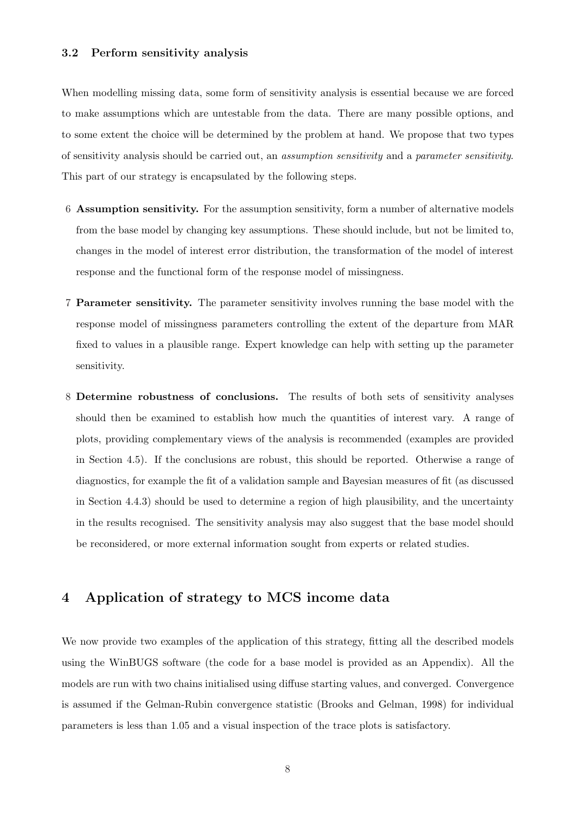### 3.2 Perform sensitivity analysis

When modelling missing data, some form of sensitivity analysis is essential because we are forced to make assumptions which are untestable from the data. There are many possible options, and to some extent the choice will be determined by the problem at hand. We propose that two types of sensitivity analysis should be carried out, an assumption sensitivity and a parameter sensitivity. This part of our strategy is encapsulated by the following steps.

- 6 Assumption sensitivity. For the assumption sensitivity, form a number of alternative models from the base model by changing key assumptions. These should include, but not be limited to, changes in the model of interest error distribution, the transformation of the model of interest response and the functional form of the response model of missingness.
- 7 Parameter sensitivity. The parameter sensitivity involves running the base model with the response model of missingness parameters controlling the extent of the departure from MAR fixed to values in a plausible range. Expert knowledge can help with setting up the parameter sensitivity.
- 8 Determine robustness of conclusions. The results of both sets of sensitivity analyses should then be examined to establish how much the quantities of interest vary. A range of plots, providing complementary views of the analysis is recommended (examples are provided in Section 4.5). If the conclusions are robust, this should be reported. Otherwise a range of diagnostics, for example the fit of a validation sample and Bayesian measures of fit (as discussed in Section 4.4.3) should be used to determine a region of high plausibility, and the uncertainty in the results recognised. The sensitivity analysis may also suggest that the base model should be reconsidered, or more external information sought from experts or related studies.

# 4 Application of strategy to MCS income data

We now provide two examples of the application of this strategy, fitting all the described models using the WinBUGS software (the code for a base model is provided as an Appendix). All the models are run with two chains initialised using diffuse starting values, and converged. Convergence is assumed if the Gelman-Rubin convergence statistic (Brooks and Gelman, 1998) for individual parameters is less than 1.05 and a visual inspection of the trace plots is satisfactory.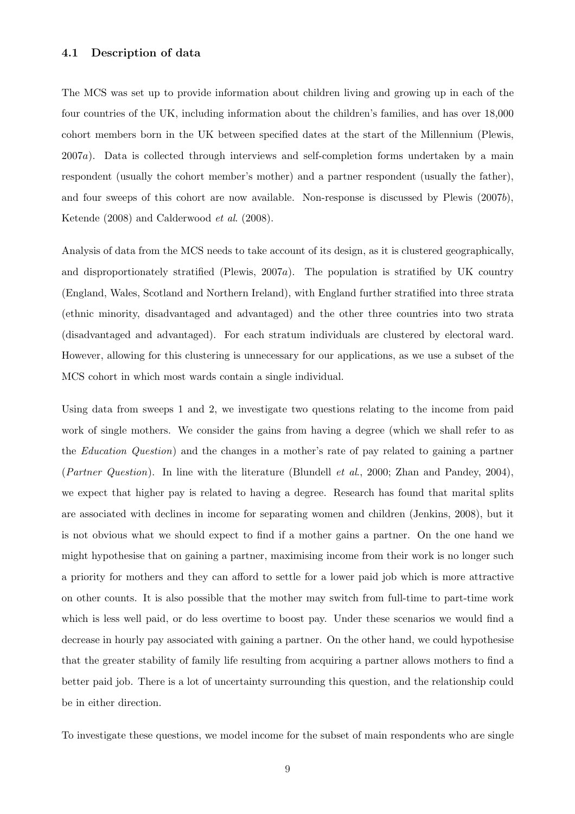## 4.1 Description of data

The MCS was set up to provide information about children living and growing up in each of the four countries of the UK, including information about the children's families, and has over 18,000 cohort members born in the UK between specified dates at the start of the Millennium (Plewis, 2007a). Data is collected through interviews and self-completion forms undertaken by a main respondent (usually the cohort member's mother) and a partner respondent (usually the father), and four sweeps of this cohort are now available. Non-response is discussed by Plewis (2007b), Ketende (2008) and Calderwood et al. (2008).

Analysis of data from the MCS needs to take account of its design, as it is clustered geographically, and disproportionately stratified (Plewis, 2007a). The population is stratified by UK country (England, Wales, Scotland and Northern Ireland), with England further stratified into three strata (ethnic minority, disadvantaged and advantaged) and the other three countries into two strata (disadvantaged and advantaged). For each stratum individuals are clustered by electoral ward. However, allowing for this clustering is unnecessary for our applications, as we use a subset of the MCS cohort in which most wards contain a single individual.

Using data from sweeps 1 and 2, we investigate two questions relating to the income from paid work of single mothers. We consider the gains from having a degree (which we shall refer to as the Education Question) and the changes in a mother's rate of pay related to gaining a partner (Partner Question). In line with the literature (Blundell et al., 2000; Zhan and Pandey, 2004), we expect that higher pay is related to having a degree. Research has found that marital splits are associated with declines in income for separating women and children (Jenkins, 2008), but it is not obvious what we should expect to find if a mother gains a partner. On the one hand we might hypothesise that on gaining a partner, maximising income from their work is no longer such a priority for mothers and they can afford to settle for a lower paid job which is more attractive on other counts. It is also possible that the mother may switch from full-time to part-time work which is less well paid, or do less overtime to boost pay. Under these scenarios we would find a decrease in hourly pay associated with gaining a partner. On the other hand, we could hypothesise that the greater stability of family life resulting from acquiring a partner allows mothers to find a better paid job. There is a lot of uncertainty surrounding this question, and the relationship could be in either direction.

To investigate these questions, we model income for the subset of main respondents who are single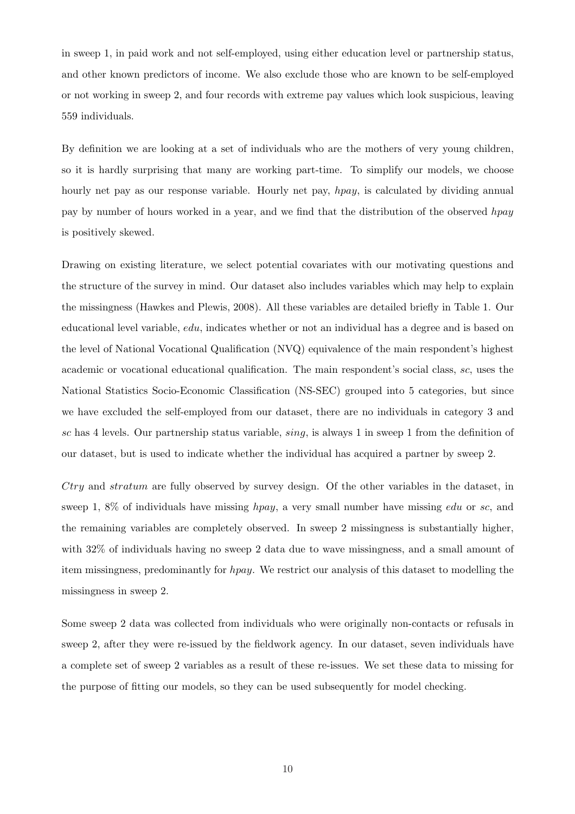in sweep 1, in paid work and not self-employed, using either education level or partnership status, and other known predictors of income. We also exclude those who are known to be self-employed or not working in sweep 2, and four records with extreme pay values which look suspicious, leaving 559 individuals.

By definition we are looking at a set of individuals who are the mothers of very young children, so it is hardly surprising that many are working part-time. To simplify our models, we choose hourly net pay as our response variable. Hourly net pay, *hpay*, is calculated by dividing annual pay by number of hours worked in a year, and we find that the distribution of the observed hpay is positively skewed.

Drawing on existing literature, we select potential covariates with our motivating questions and the structure of the survey in mind. Our dataset also includes variables which may help to explain the missingness (Hawkes and Plewis, 2008). All these variables are detailed briefly in Table 1. Our educational level variable, edu, indicates whether or not an individual has a degree and is based on the level of National Vocational Qualification (NVQ) equivalence of the main respondent's highest academic or vocational educational qualification. The main respondent's social class, sc, uses the National Statistics Socio-Economic Classification (NS-SEC) grouped into 5 categories, but since we have excluded the self-employed from our dataset, there are no individuals in category 3 and sc has 4 levels. Our partnership status variable,  $sing$ , is always 1 in sweep 1 from the definition of our dataset, but is used to indicate whether the individual has acquired a partner by sweep 2.

 $Ctry$  and stratum are fully observed by survey design. Of the other variables in the dataset, in sweep 1, 8% of individuals have missing  $hpay$ , a very small number have missing edu or sc, and the remaining variables are completely observed. In sweep 2 missingness is substantially higher, with 32% of individuals having no sweep 2 data due to wave missingness, and a small amount of item missingness, predominantly for hpay. We restrict our analysis of this dataset to modelling the missingness in sweep 2.

Some sweep 2 data was collected from individuals who were originally non-contacts or refusals in sweep 2, after they were re-issued by the fieldwork agency. In our dataset, seven individuals have a complete set of sweep 2 variables as a result of these re-issues. We set these data to missing for the purpose of fitting our models, so they can be used subsequently for model checking.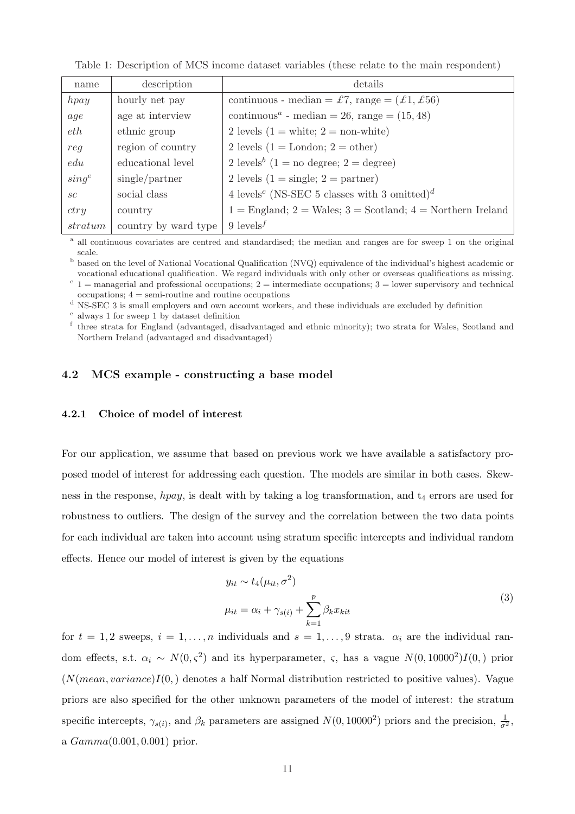| name                     | description          | details                                                              |
|--------------------------|----------------------|----------------------------------------------------------------------|
| hpay                     | hourly net pay       | continuous - median = £7, range = $(£1, £56)$                        |
| age                      | age at interview     | continuous <sup><i>a</i></sup> - median = 26, range = $(15, 48)$     |
| eth                      | ethnic group         | 2 levels $(1 = \text{white}; 2 = \text{non-white})$                  |
| req                      | region of country    | 2 levels $(1 =$ London; $2 =$ other)                                 |
| edu                      | educational level    | 2 levels <sup>b</sup> (1 = no degree; 2 = degree)                    |
| $sing^e$                 | single/partner       | 2 levels $(1 = \text{single}; 2 = \text{partner})$                   |
| $\mathcal{S}\mathcal{C}$ | social class         | 4 levels <sup>c</sup> (NS-SEC 5 classes with 3 omitted) <sup>d</sup> |
| ctry                     | country              | $1 =$ England; $2 =$ Wales; $3 =$ Scotland; $4 =$ Northern Ireland   |
| stratum                  | country by ward type | 9 levels <sup><math>f</math></sup>                                   |

Table 1: Description of MCS income dataset variables (these relate to the main respondent)

<sup>a</sup> all continuous covariates are centred and standardised; the median and ranges are for sweep 1 on the original scale.

<sup>b</sup> based on the level of National Vocational Qualification (NVQ) equivalence of the individual's highest academic or

vocational educational qualification. We regard individuals with only other or overseas qualifications as missing.  $c_{1}$  = managerial and professional occupations; 2 = intermediate occupations; 3 = lower supervisory and technical occupations; 4 = semi-routine and routine occupations

<sup>d</sup> NS-SEC 3 is small employers and own account workers, and these individuals are excluded by definition

e always 1 for sweep 1 by dataset definition

<sup>f</sup> three strata for England (advantaged, disadvantaged and ethnic minority); two strata for Wales, Scotland and Northern Ireland (advantaged and disadvantaged)

### 4.2 MCS example - constructing a base model

#### 4.2.1 Choice of model of interest

For our application, we assume that based on previous work we have available a satisfactory proposed model of interest for addressing each question. The models are similar in both cases. Skewness in the response,  $hpay$ , is dealt with by taking a log transformation, and  $t_4$  errors are used for robustness to outliers. The design of the survey and the correlation between the two data points for each individual are taken into account using stratum specific intercepts and individual random effects. Hence our model of interest is given by the equations

$$
y_{it} \sim t_4(\mu_{it}, \sigma^2)
$$
  

$$
\mu_{it} = \alpha_i + \gamma_{s(i)} + \sum_{k=1}^p \beta_k x_{kit}
$$
 (3)

for  $t = 1, 2$  sweeps,  $i = 1, \ldots, n$  individuals and  $s = 1, \ldots, 9$  strata.  $\alpha_i$  are the individual random effects, s.t.  $\alpha_i \sim N(0, \varsigma^2)$  and its hyperparameter,  $\varsigma$ , has a vague  $N(0, 10000^2)I(0, 10000^2)$  $(N(mean, variance)I(0))$  denotes a half Normal distribution restricted to positive values). Vague priors are also specified for the other unknown parameters of the model of interest: the stratum specific intercepts,  $\gamma_{s(i)}$ , and  $\beta_k$  parameters are assigned  $N(0, 10000^2)$  priors and the precision,  $\frac{1}{\sigma^2}$ , a Gamma(0.001, 0.001) prior.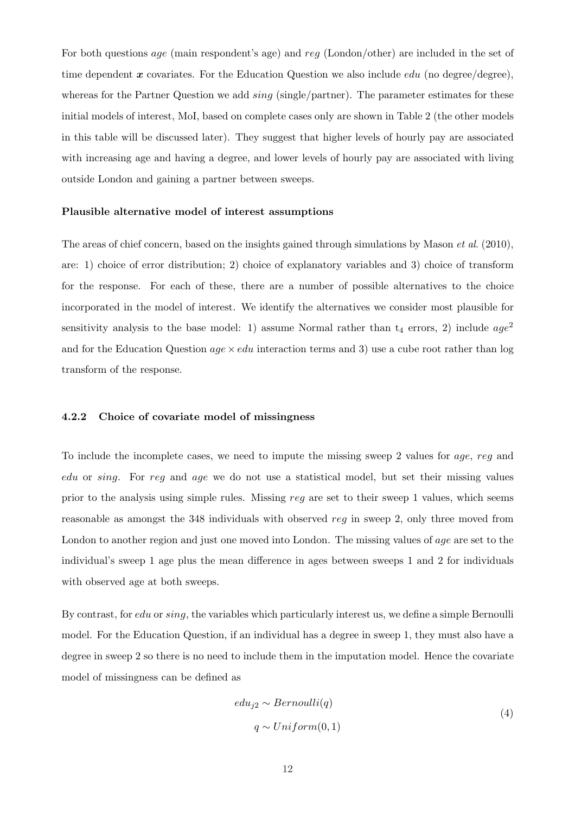For both questions *age* (main respondent's age) and reg (London/other) are included in the set of time dependent  $x$  covariates. For the Education Question we also include *edu* (no degree), whereas for the Partner Question we add  $\text{sing}(\text{single/partner})$ . The parameter estimates for these initial models of interest, MoI, based on complete cases only are shown in Table 2 (the other models in this table will be discussed later). They suggest that higher levels of hourly pay are associated with increasing age and having a degree, and lower levels of hourly pay are associated with living outside London and gaining a partner between sweeps.

#### Plausible alternative model of interest assumptions

The areas of chief concern, based on the insights gained through simulations by Mason *et al.* (2010), are: 1) choice of error distribution; 2) choice of explanatory variables and 3) choice of transform for the response. For each of these, there are a number of possible alternatives to the choice incorporated in the model of interest. We identify the alternatives we consider most plausible for sensitivity analysis to the base model: 1) assume Normal rather than  $t_4$  errors, 2) include  $age^2$ and for the Education Question  $age \times edu$  interaction terms and 3) use a cube root rather than log transform of the response.

### 4.2.2 Choice of covariate model of missingness

To include the incomplete cases, we need to impute the missing sweep 2 values for age, reg and edu or sing. For reg and age we do not use a statistical model, but set their missing values prior to the analysis using simple rules. Missing reg are set to their sweep 1 values, which seems reasonable as amongst the 348 individuals with observed reg in sweep 2, only three moved from London to another region and just one moved into London. The missing values of age are set to the individual's sweep 1 age plus the mean difference in ages between sweeps 1 and 2 for individuals with observed age at both sweeps.

By contrast, for edu or sing, the variables which particularly interest us, we define a simple Bernoulli model. For the Education Question, if an individual has a degree in sweep 1, they must also have a degree in sweep 2 so there is no need to include them in the imputation model. Hence the covariate model of missingness can be defined as

$$
edu_{j2} \sim Bernoulli(q)
$$
  
 
$$
q \sim Uniform(0, 1)
$$
 (4)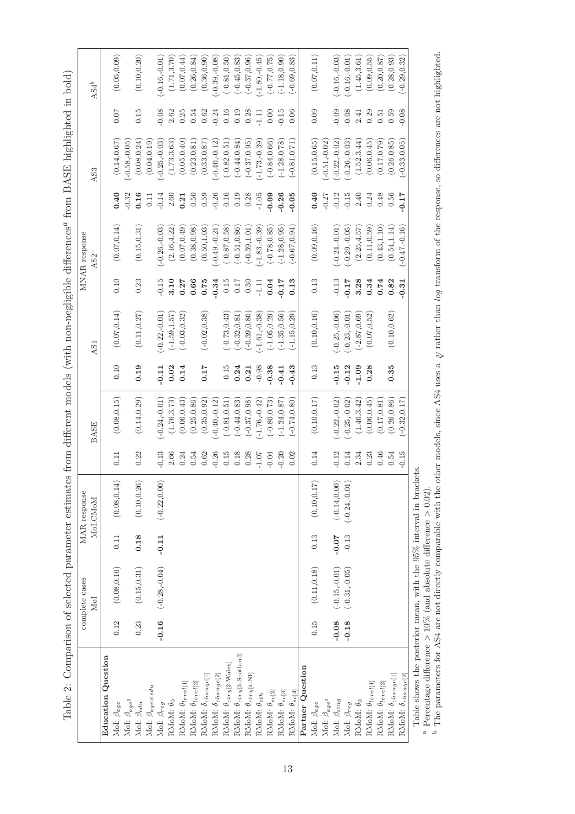|                                                                                                          |                      | $\ddot{ }$     |
|----------------------------------------------------------------------------------------------------------|----------------------|----------------|
|                                                                                                          |                      | $\frac{1}{2}$  |
|                                                                                                          | <b>JNAR</b> response | $\frac{1}{2}$  |
|                                                                                                          |                      | $\vdots$       |
| mates from different models (with non-negligible differences <sup>a</sup> from BASE highlighted in bold) |                      | <br> <br> <br> |
| せきく そくそくろうこうろく                                                                                           | 9S <sub>I</sub>      |                |
| $-1$ color<br>icuoi                                                                                      | PSSS D<br>anno lata  |                |
| ł                                                                                                        |                      |                |

 $\overline{\phantom{a}}$ 

|                                          |         | complete cases                  |            | MAR response    |                |                 |         |                 |                 | MNAR response   |                |                 |         |                  |
|------------------------------------------|---------|---------------------------------|------------|-----------------|----------------|-----------------|---------|-----------------|-----------------|-----------------|----------------|-----------------|---------|------------------|
|                                          |         | MoI                             |            | MoI.CMoM        |                | BASE            |         | AS1             |                 | AS <sub>2</sub> |                | AS3             |         | $\mathrm{AS4}^b$ |
| Education Question                       |         |                                 |            |                 |                |                 |         |                 |                 |                 |                |                 |         |                  |
| MoI: $\beta_{age}$                       | 0.12    | (0.08, 0.16)                    | 0.11       | (0.08, 0.14)    | $\Xi$          | (0.08, 0.15)    | 0.10    | (0.07, 0.14)    | 0.10            | (0.07, 0.14)    | 0.40           | (0.14, 0.67)    | 0.07    | (0.05, 0.09)     |
| MoI: $\beta_{age^2}$                     |         |                                 |            |                 |                |                 |         |                 |                 |                 | $-0.32$        | $-0.58, -0.05$  |         |                  |
| MoI: $\beta_{edu}$                       | 0.23    | (0.15, 0.31)                    | 0.18       | (0.10, 0.26)    | 0.22           | (0.14, 0.29)    | 0.19    | (0.11, 0.27)    | 0.23            | (0.15, 0.31)    | 0.16           | (0.08, 0.24)    | 0.15    | (0.10, 0.20)     |
| MoI: $\beta_{age}\times edu$             |         |                                 |            |                 |                |                 |         |                 |                 |                 | $\overline{0}$ | (0.04, 0.19)    |         |                  |
| Mo<br>I: $\beta_{reg}$                   |         | $-0.16$ $(-0.28,-0.04)$ $-0.11$ |            | $(-0.22, 0.00)$ | 0.13           | $-0.24,-0.01$   | $-0.11$ | $-0.22,-0.01$ ) | $-0.15$         | $-0.26,-0.03$   | $-0.14$        | $(-0.25,-0.03)$ | $0.08$  | $-0.16,-0.01$    |
| RMoM: $\theta_0$                         |         |                                 |            |                 | 2.66           | (1.76, 3.73)    | 0.02    | $(-1.59, 1.57)$ | 3.10            | (2.16, 4.22)    | 2.60           | (1.73, 3.63)    | 2.62    | (1.71, 3.70)     |
| RMoM: $\theta_{level[1]}$                |         |                                 |            |                 | 0.24           | (0.06, 0.43)    | 0.14    | $(-0.03, 0.32)$ | 0.27            | (0.07, 0.49)    | 0.21           | (0.05, 0.40)    | 0.25    | (0.07, 0.44)     |
| RMoM: $\theta_{level[2]}$                |         |                                 |            |                 | 0.54           | (0.25, 0.86)    |         |                 | 0.66            | (0.38, 0.98)    | 0.50           | (0.23, 0.81)    | 0.54    | (0.26, 0.84)     |
| RMoM: $\delta_{change[1]}$               |         |                                 |            |                 | 0.62           | (0.35, 0.92)    | 0.17    | $(-0.02, 0.38)$ | 0.75            | (0.50, 1.03)    | 0.59           | (0.33, 0.87)    | 0.62    | (0.36, 0.90)     |
| RMoM: $\delta_{change[2]}$               |         |                                 |            |                 | 0.26           | $-0.40,-0.12$   |         |                 | 0.34            | $-0.49,-0.21$   | $-0.26$        | $-0.40,-0.12$   | 0.24    | $-0.39,-0.08$    |
| RMoM: $\theta_{ctry[2:Wales]}$           |         |                                 |            |                 | $-0.15$        | $(-0.81, 0.51)$ | $-0.15$ | $(-0.73, 0.43)$ | $-0.15$         | $(-0.87, 0.58)$ | $-0.16$        | $(-0.82, 0.51)$ | $-0.16$ | $(-0.81, 0.50)$  |
| RMoM: $\theta_{ctry[3:\text{Scotland}]}$ |         |                                 |            |                 | $0.18\,$       | $(-0.44, 0.83)$ | 0.24    | $(-0.32, 0.81)$ | 0.17            | $(-0.51, 0.86)$ | 0.19           | $(-0.44, 0.84)$ | 0.19    | $(-0.45, 0.83)$  |
| RMoM: $\theta_{ctry[4:N\text{I}]}$       |         |                                 |            |                 | 0.28           | $(-0.37, 0.98)$ | 0.21    | $(-0.39, 0.80)$ | 0.30            | $(-0.39, 1.01)$ | 0.28           | $(-0.37, 0.95)$ | 0.28    | $(-0.37, 0.96)$  |
| RMoM: $\theta_{eth}$                     |         |                                 |            |                 | $\text{-}1.07$ | $-1.76,-0.42$   | $-0.98$ | $-1.61,-0.38$   | $\frac{11}{11}$ | $-1.83 - 0.39$  | $-1.05$        | $(-1.73,-0.39)$ | 1.11    | $(-1.80,-0.45)$  |
| RMoM: $\theta_{sc[2]}$                   |         |                                 |            |                 | $-0.04$        | $-0.80, 0.73$   | $-0.38$ | $(-1.05, 0.29)$ | 0.04            | $(-0.78, 0.85)$ | $-0.09$        | $(-0.84, 0.66)$ | 0.00    | $(-0.77, 0.75)$  |
| RMoM: $\theta_{sc[3]}$                   |         |                                 |            |                 | $-0.20$        | $(-1.24, 0.87)$ | $-0.41$ | $(-1.35, 0.56)$ | 0.17            | $(-1.28, 0.95)$ | $-0.26$        | $(-1.28, 0.78)$ | 0.15    | $(-1.18, 0.90)$  |
| RMoM: $\theta_{sc[4]}$                   |         |                                 |            |                 | 0.02           | $-0.74, 0.80$   | $-0.43$ | $(-1.15, 0.29)$ | 0.13            | $(-0.67, 0.94)$ | $-0.05$        | $(-0.81, 0.71)$ | 0.06    | $(-0.69, 0.83)$  |
| Partner Question                         |         |                                 |            |                 |                |                 |         |                 |                 |                 |                |                 |         |                  |
| MoI: $\beta_{age}$                       | 0.15    | $\left(0.11,0.18\right)$        | 0.13       | (0.10, 0.17)    | 0.14           | (0.10, 0.17)    | 0.13    | (0.10, 0.16)    | 0.13            | (0.09, 0.16)    | 0.40           | (0.15, 0.65)    | 0.09    | (0.07, 0.11)     |
| MoI: $\beta_{age}$ $\!$                  |         |                                 |            |                 |                |                 |         |                 |                 |                 | $-0.27$        | $(-0.51,-0.02)$ |         |                  |
| MoI: $\beta_{sing}$                      | $-0.08$ | $(-0.15,-0.01)$                 | $-0.07$    | $(-0.14, 0.00)$ | $-0.12$        | $-0.22,-0.02$   | 0.15    | $-0.25,-0.06$   | $-0.13$         | $-0.24 - 0.01$  | $-0.12$        | $-0.22,-0.02$   | 0.09    | $-0.16,-0.03$    |
| MoI: $\beta_{reg}$                       | $-0.18$ | $(-0.31,-0.05)$                 | $-0.13$    | $(-0.24,-0.01)$ | $-0.14$        | $-0.25, -0.02$  | $-0.12$ | $(-0.23,-0.01)$ | $-0.17$         | $-0.29, -0.05$  | $-0.15$        | $(-0.26,-0.03)$ | $-0.08$ | $(-0.16,-0.01)$  |
| RMoM: $\theta_0$                         |         |                                 |            |                 | 2.34           | (1.46, 3.42)    | $-1.09$ | $(-2.87, 0.69)$ | 3.28            | (2.25, 4.57)    | 2.40           | (1.52, 3.44)    | 2.41    | (1.45, 3.61)     |
| RMoM: $\theta_{level[1]}$                |         |                                 |            |                 | 0.23           | (0.06, 0.45)    | 0.28    | (0.07, 0.52)    | 0.34            | (0.11, 0.59)    | 0.24           | (0.06, 0.45)    | 0.29    | (0.09, 0.55)     |
| RMoM: $\theta_{level[2]}$                |         |                                 |            |                 | 0.46           | (0.17, 0.81)    |         |                 | 0.74            | (0.43, 1.10)    | 0.48           | (0.17, 0.79)    | 0.51    | (0.20.0.87)      |
| $\text{RMoM: }\delta_{change[1]}$        |         |                                 |            |                 | 0.54           | (0.26, 0.86)    | 0.35    | (0.10, 0.62)    | 0.82            | (0.54, 1.14)    | 0.56           | (0.26, 0.85)    | 0.59    | (0.28, 0.93)     |
| $\text{RMoM: }\delta_{change[2]}$        |         |                                 |            |                 | $-0.15$        | $-0.32, 0.17$   |         |                 | $-0.31$         | $-0.47,-0.16$ ) | $-0.17$        | $(-0.33, 0.05)$ | $-0.08$ | $(-0.29, 0.32)$  |
| $\frac{1}{1}$                            |         |                                 | $\ddot{c}$ |                 |                |                 |         |                 |                 |                 |                |                 |         |                  |

Table shows the posterior mean, with the 95% interval in brackets.

Λ

a

 Percentage difference  $>$  10% (and absolute difference  $> 0.02$ . ء The parameters for AS4 are not directly comparable with the other models, since AS4 uses a  $\frac{3}{2}$  rather than log transform of the response, so differences are not highlighted.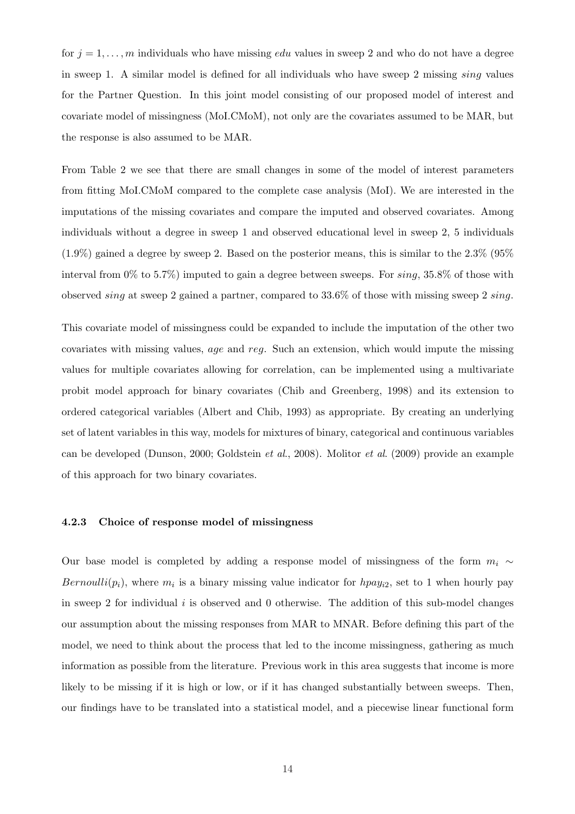for  $j = 1, \ldots, m$  individuals who have missing *edu* values in sweep 2 and who do not have a degree in sweep 1. A similar model is defined for all individuals who have sweep 2 missing sing values for the Partner Question. In this joint model consisting of our proposed model of interest and covariate model of missingness (MoI.CMoM), not only are the covariates assumed to be MAR, but the response is also assumed to be MAR.

From Table 2 we see that there are small changes in some of the model of interest parameters from fitting MoI.CMoM compared to the complete case analysis (MoI). We are interested in the imputations of the missing covariates and compare the imputed and observed covariates. Among individuals without a degree in sweep 1 and observed educational level in sweep 2, 5 individuals  $(1.9\%)$  gained a degree by sweep 2. Based on the posterior means, this is similar to the 2.3% (95%) interval from  $0\%$  to 5.7%) imputed to gain a degree between sweeps. For  $sing$ , 35.8% of those with observed sing at sweep 2 gained a partner, compared to  $33.6\%$  of those with missing sweep 2 sing.

This covariate model of missingness could be expanded to include the imputation of the other two covariates with missing values, age and reg. Such an extension, which would impute the missing values for multiple covariates allowing for correlation, can be implemented using a multivariate probit model approach for binary covariates (Chib and Greenberg, 1998) and its extension to ordered categorical variables (Albert and Chib, 1993) as appropriate. By creating an underlying set of latent variables in this way, models for mixtures of binary, categorical and continuous variables can be developed (Dunson, 2000; Goldstein et al., 2008). Molitor et al. (2009) provide an example of this approach for two binary covariates.

#### 4.2.3 Choice of response model of missingness

Our base model is completed by adding a response model of missingness of the form  $m_i \sim$ Bernoulli $(p_i)$ , where  $m_i$  is a binary missing value indicator for  $hpay_{i2}$ , set to 1 when hourly pay in sweep 2 for individual  $i$  is observed and 0 otherwise. The addition of this sub-model changes our assumption about the missing responses from MAR to MNAR. Before defining this part of the model, we need to think about the process that led to the income missingness, gathering as much information as possible from the literature. Previous work in this area suggests that income is more likely to be missing if it is high or low, or if it has changed substantially between sweeps. Then, our findings have to be translated into a statistical model, and a piecewise linear functional form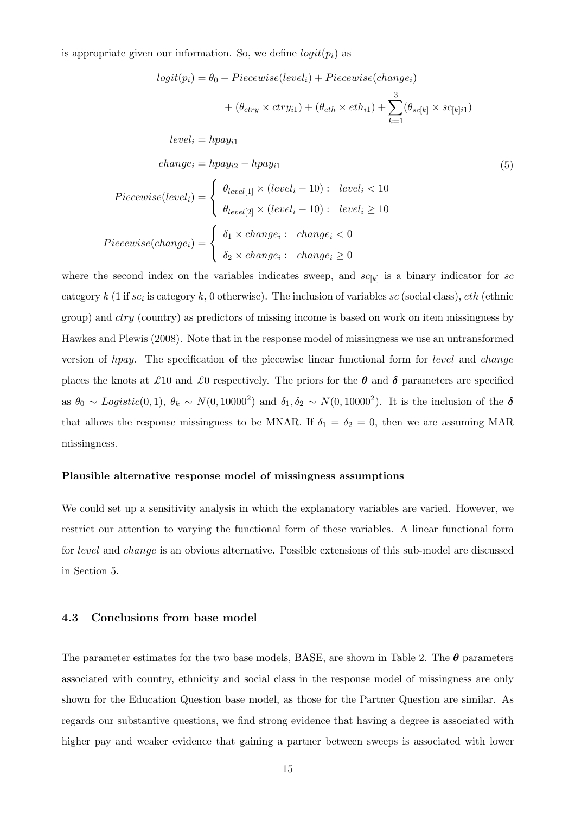is appropriate given our information. So, we define  $logit(p_i)$  as

$$
logit(p_i) = \theta_0 + Piecewise(level_i) + Piecewise(change_i)
$$
  
+ 
$$
(\theta_{ctry} \times ctry_{i1}) + (\theta_{eth} \times eth_{i1}) + \sum_{k=1}^{3} (\theta_{sc[k]} \times sc_{[k]i1})
$$
  
level<sub>i</sub> = hpay<sub>i1</sub>  
change<sub>i</sub> = hpay<sub>i2</sub> - hpay<sub>i1</sub>  

$$
Piecewise(level_i) = \begin{cases} \theta_{level[1]} \times (level_i - 10) : & level_i < 10 \\ \theta_{level[2]} \times (level_i - 10) : & level_i \ge 10 \end{cases}
$$
  
Piecewise(change<sub>i</sub>) = 
$$
\begin{cases} \delta_1 \times change_i : & change_i < 0 \\ \delta_2 \times change_i : & change_i \ge 0 \end{cases}
$$

where the second index on the variables indicates sweep, and  $sc_{[k]}$  is a binary indicator for sc category k (1 if  $sc_i$  is category k, 0 otherwise). The inclusion of variables  $sc$  (social class),  $eth$  (ethnic group) and  $ctry$  (country) as predictors of missing income is based on work on item missingness by Hawkes and Plewis (2008). Note that in the response model of missingness we use an untransformed version of hpay. The specification of the piecewise linear functional form for level and change places the knots at £10 and £0 respectively. The priors for the  $\theta$  and  $\delta$  parameters are specified as  $\theta_0 \sim Logistic(0,1), \theta_k \sim N(0,10000^2)$  and  $\delta_1, \delta_2 \sim N(0,10000^2)$ . It is the inclusion of the  $\delta$ that allows the response missingness to be MNAR. If  $\delta_1 = \delta_2 = 0$ , then we are assuming MAR missingness.

#### Plausible alternative response model of missingness assumptions

We could set up a sensitivity analysis in which the explanatory variables are varied. However, we restrict our attention to varying the functional form of these variables. A linear functional form for level and change is an obvious alternative. Possible extensions of this sub-model are discussed in Section 5.

#### 4.3 Conclusions from base model

The parameter estimates for the two base models, BASE, are shown in Table 2. The  $\theta$  parameters associated with country, ethnicity and social class in the response model of missingness are only shown for the Education Question base model, as those for the Partner Question are similar. As regards our substantive questions, we find strong evidence that having a degree is associated with higher pay and weaker evidence that gaining a partner between sweeps is associated with lower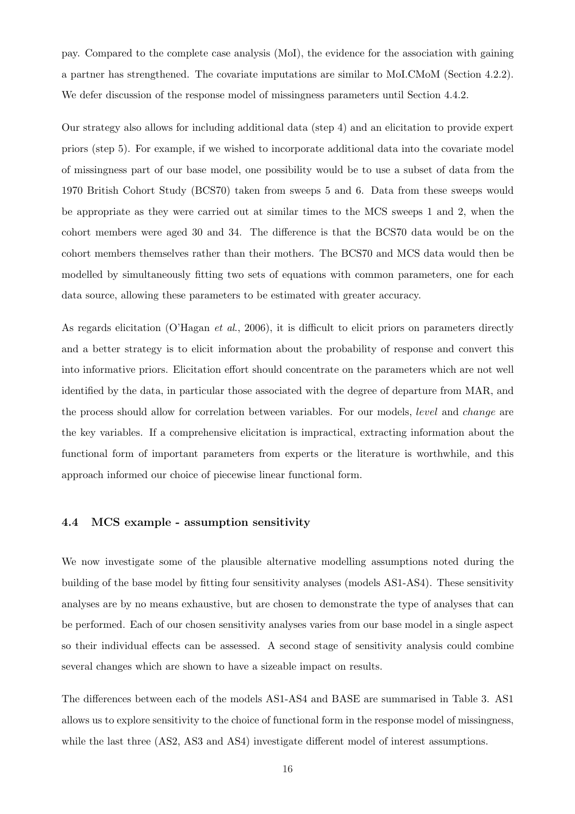pay. Compared to the complete case analysis (MoI), the evidence for the association with gaining a partner has strengthened. The covariate imputations are similar to MoI.CMoM (Section 4.2.2). We defer discussion of the response model of missingness parameters until Section 4.4.2.

Our strategy also allows for including additional data (step 4) and an elicitation to provide expert priors (step 5). For example, if we wished to incorporate additional data into the covariate model of missingness part of our base model, one possibility would be to use a subset of data from the 1970 British Cohort Study (BCS70) taken from sweeps 5 and 6. Data from these sweeps would be appropriate as they were carried out at similar times to the MCS sweeps 1 and 2, when the cohort members were aged 30 and 34. The difference is that the BCS70 data would be on the cohort members themselves rather than their mothers. The BCS70 and MCS data would then be modelled by simultaneously fitting two sets of equations with common parameters, one for each data source, allowing these parameters to be estimated with greater accuracy.

As regards elicitation (O'Hagan *et al.*, 2006), it is difficult to elicit priors on parameters directly and a better strategy is to elicit information about the probability of response and convert this into informative priors. Elicitation effort should concentrate on the parameters which are not well identified by the data, in particular those associated with the degree of departure from MAR, and the process should allow for correlation between variables. For our models, level and change are the key variables. If a comprehensive elicitation is impractical, extracting information about the functional form of important parameters from experts or the literature is worthwhile, and this approach informed our choice of piecewise linear functional form.

## 4.4 MCS example - assumption sensitivity

We now investigate some of the plausible alternative modelling assumptions noted during the building of the base model by fitting four sensitivity analyses (models AS1-AS4). These sensitivity analyses are by no means exhaustive, but are chosen to demonstrate the type of analyses that can be performed. Each of our chosen sensitivity analyses varies from our base model in a single aspect so their individual effects can be assessed. A second stage of sensitivity analysis could combine several changes which are shown to have a sizeable impact on results.

The differences between each of the models AS1-AS4 and BASE are summarised in Table 3. AS1 allows us to explore sensitivity to the choice of functional form in the response model of missingness, while the last three (AS2, AS3 and AS4) investigate different model of interest assumptions.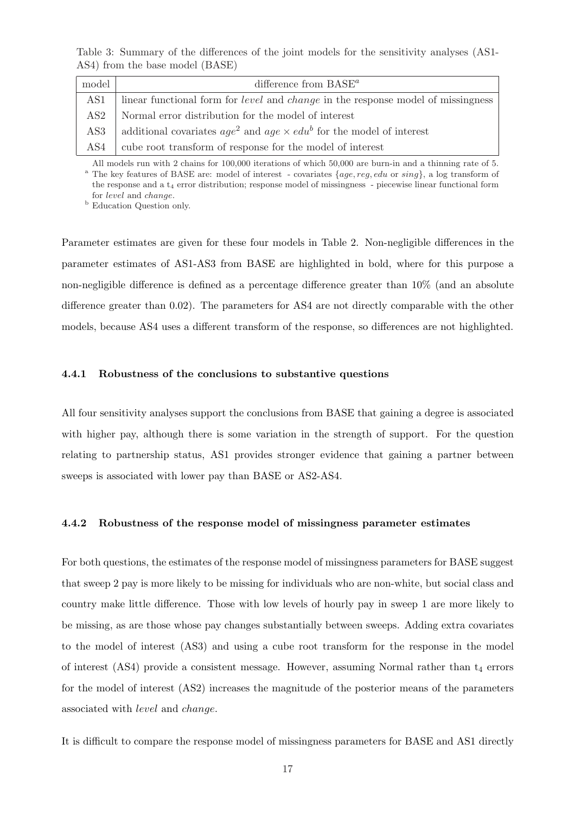Table 3: Summary of the differences of the joint models for the sensitivity analyses (AS1- AS4) from the base model (BASE)

| model | difference from $BASE^a$                                                                       |
|-------|------------------------------------------------------------------------------------------------|
| AS1   | linear functional form for <i>level</i> and <i>change</i> in the response model of missingness |
| AS2   | Normal error distribution for the model of interest                                            |
| AS3   | additional covariates $age^2$ and $age \times edu^b$ for the model of interest                 |
| AS4   | cube root transform of response for the model of interest                                      |

All models run with 2 chains for 100,000 iterations of which 50,000 are burn-in and a thinning rate of 5. <sup>a</sup> The key features of BASE are: model of interest - covariates  $\{age, reg, edu \text{ or } sing\}$ , a log transform of the response and a t<sub>4</sub> error distribution; response model of missingness - piecewise linear functional form for level and change.

<sup>b</sup> Education Question only.

Parameter estimates are given for these four models in Table 2. Non-negligible differences in the parameter estimates of AS1-AS3 from BASE are highlighted in bold, where for this purpose a non-negligible difference is defined as a percentage difference greater than 10% (and an absolute difference greater than 0.02). The parameters for AS4 are not directly comparable with the other models, because AS4 uses a different transform of the response, so differences are not highlighted.

#### 4.4.1 Robustness of the conclusions to substantive questions

All four sensitivity analyses support the conclusions from BASE that gaining a degree is associated with higher pay, although there is some variation in the strength of support. For the question relating to partnership status, AS1 provides stronger evidence that gaining a partner between sweeps is associated with lower pay than BASE or AS2-AS4.

#### 4.4.2 Robustness of the response model of missingness parameter estimates

For both questions, the estimates of the response model of missingness parameters for BASE suggest that sweep 2 pay is more likely to be missing for individuals who are non-white, but social class and country make little difference. Those with low levels of hourly pay in sweep 1 are more likely to be missing, as are those whose pay changes substantially between sweeps. Adding extra covariates to the model of interest (AS3) and using a cube root transform for the response in the model of interest (AS4) provide a consistent message. However, assuming Normal rather than  $t_4$  errors for the model of interest (AS2) increases the magnitude of the posterior means of the parameters associated with level and change.

It is difficult to compare the response model of missingness parameters for BASE and AS1 directly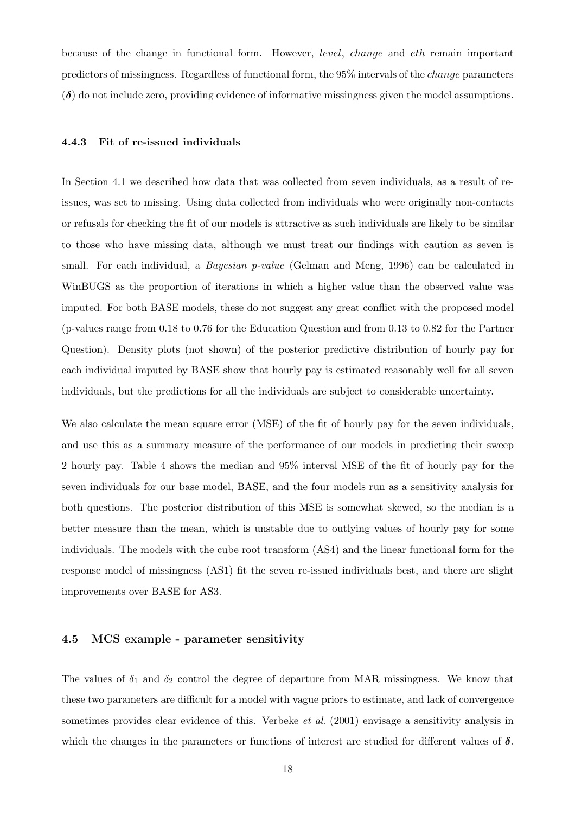because of the change in functional form. However, level, change and eth remain important predictors of missingness. Regardless of functional form, the 95% intervals of the change parameters  $(\delta)$  do not include zero, providing evidence of informative missingness given the model assumptions.

## 4.4.3 Fit of re-issued individuals

In Section 4.1 we described how data that was collected from seven individuals, as a result of reissues, was set to missing. Using data collected from individuals who were originally non-contacts or refusals for checking the fit of our models is attractive as such individuals are likely to be similar to those who have missing data, although we must treat our findings with caution as seven is small. For each individual, a *Bayesian p-value* (Gelman and Meng, 1996) can be calculated in WinBUGS as the proportion of iterations in which a higher value than the observed value was imputed. For both BASE models, these do not suggest any great conflict with the proposed model (p-values range from 0.18 to 0.76 for the Education Question and from 0.13 to 0.82 for the Partner Question). Density plots (not shown) of the posterior predictive distribution of hourly pay for each individual imputed by BASE show that hourly pay is estimated reasonably well for all seven individuals, but the predictions for all the individuals are subject to considerable uncertainty.

We also calculate the mean square error (MSE) of the fit of hourly pay for the seven individuals, and use this as a summary measure of the performance of our models in predicting their sweep 2 hourly pay. Table 4 shows the median and 95% interval MSE of the fit of hourly pay for the seven individuals for our base model, BASE, and the four models run as a sensitivity analysis for both questions. The posterior distribution of this MSE is somewhat skewed, so the median is a better measure than the mean, which is unstable due to outlying values of hourly pay for some individuals. The models with the cube root transform (AS4) and the linear functional form for the response model of missingness (AS1) fit the seven re-issued individuals best, and there are slight improvements over BASE for AS3.

### 4.5 MCS example - parameter sensitivity

The values of  $\delta_1$  and  $\delta_2$  control the degree of departure from MAR missingness. We know that these two parameters are difficult for a model with vague priors to estimate, and lack of convergence sometimes provides clear evidence of this. Verbeke *et al.* (2001) envisage a sensitivity analysis in which the changes in the parameters or functions of interest are studied for different values of  $\delta$ .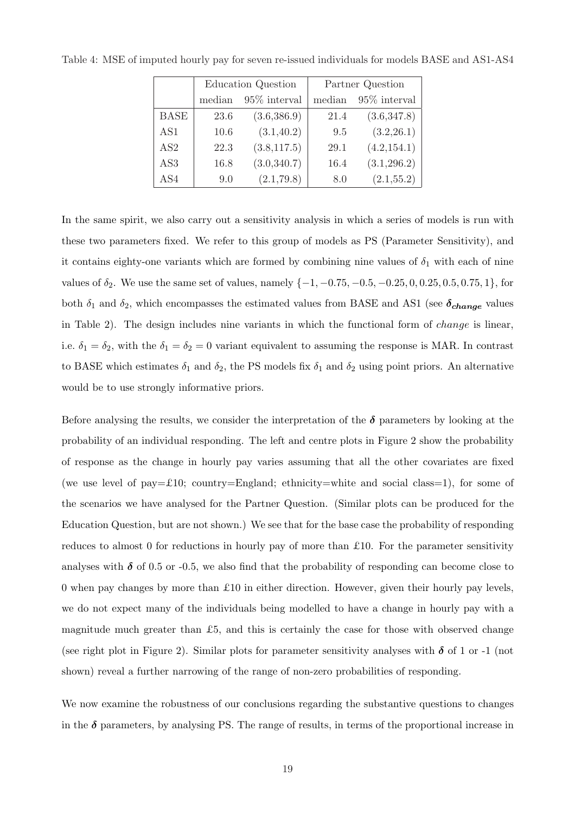|                 |        | Education Question |        | Partner Question |
|-----------------|--------|--------------------|--------|------------------|
|                 | median | 95\% interval      | median | $95\%$ interval  |
| <b>BASE</b>     | 23.6   | (3.6, 386.9)       | 21.4   | (3.6, 347.8)     |
| AS1             | 10.6   | (3.1, 40.2)        | 9.5    | (3.2, 26.1)      |
| AS <sub>2</sub> | 22.3   | (3.8, 117.5)       | 29.1   | (4.2, 154.1)     |
| AS <sub>3</sub> | 16.8   | (3.0, 340.7)       | 16.4   | (3.1, 296.2)     |
| AS4             | 9.0    | (2.1, 79.8)        | 8.0    | (2.1, 55.2)      |

Table 4: MSE of imputed hourly pay for seven re-issued individuals for models BASE and AS1-AS4

In the same spirit, we also carry out a sensitivity analysis in which a series of models is run with these two parameters fixed. We refer to this group of models as PS (Parameter Sensitivity), and it contains eighty-one variants which are formed by combining nine values of  $\delta_1$  with each of nine values of  $\delta_2$ . We use the same set of values, namely  $\{-1, -0.75, -0.5, -0.25, 0, 0.25, 0.5, 0.75, 1\}$ , for both  $\delta_1$  and  $\delta_2$ , which encompasses the estimated values from BASE and AS1 (see  $\delta_{change}$  values in Table 2). The design includes nine variants in which the functional form of *change* is linear, i.e.  $\delta_1 = \delta_2$ , with the  $\delta_1 = \delta_2 = 0$  variant equivalent to assuming the response is MAR. In contrast to BASE which estimates  $\delta_1$  and  $\delta_2$ , the PS models fix  $\delta_1$  and  $\delta_2$  using point priors. An alternative would be to use strongly informative priors.

Before analysing the results, we consider the interpretation of the  $\delta$  parameters by looking at the probability of an individual responding. The left and centre plots in Figure 2 show the probability of response as the change in hourly pay varies assuming that all the other covariates are fixed (we use level of pay= $\pounds 10$ ; country=England; ethnicity=white and social class=1), for some of the scenarios we have analysed for the Partner Question. (Similar plots can be produced for the Education Question, but are not shown.) We see that for the base case the probability of responding reduces to almost 0 for reductions in hourly pay of more than £10. For the parameter sensitivity analyses with  $\delta$  of 0.5 or -0.5, we also find that the probability of responding can become close to 0 when pay changes by more than  $\pounds 10$  in either direction. However, given their hourly pay levels, we do not expect many of the individuals being modelled to have a change in hourly pay with a magnitude much greater than £5, and this is certainly the case for those with observed change (see right plot in Figure 2). Similar plots for parameter sensitivity analyses with  $\delta$  of 1 or -1 (not shown) reveal a further narrowing of the range of non-zero probabilities of responding.

We now examine the robustness of our conclusions regarding the substantive questions to changes in the  $\delta$  parameters, by analysing PS. The range of results, in terms of the proportional increase in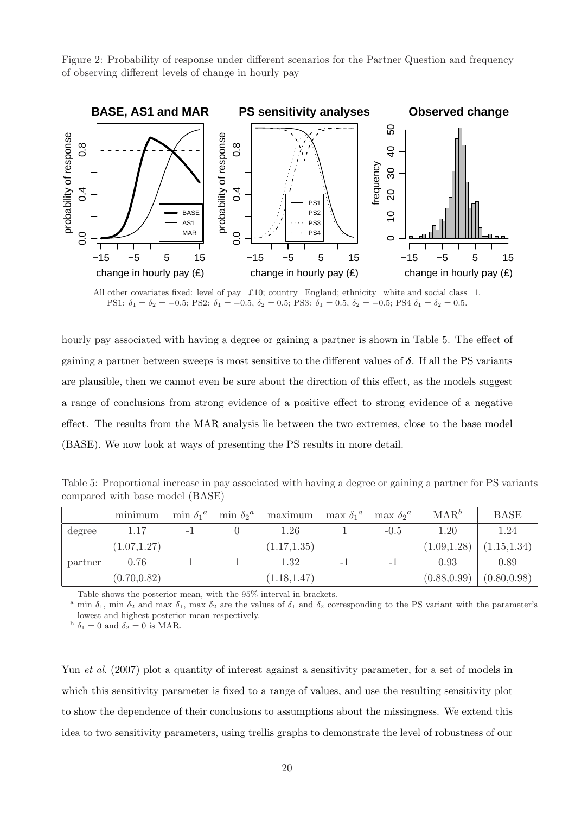Figure 2: Probability of response under different scenarios for the Partner Question and frequency of observing different levels of change in hourly pay



All other covariates fixed: level of pay=£10; country=England; ethnicity=white and social class=1. PS1:  $\delta_1 = \delta_2 = -0.5$ ; PS2:  $\delta_1 = -0.5$ ,  $\delta_2 = 0.5$ ; PS3:  $\delta_1 = 0.5$ ,  $\delta_2 = -0.5$ ; PS4  $\delta_1 = \delta_2 = 0.5$ .

hourly pay associated with having a degree or gaining a partner is shown in Table 5. The effect of gaining a partner between sweeps is most sensitive to the different values of  $\delta$ . If all the PS variants are plausible, then we cannot even be sure about the direction of this effect, as the models suggest a range of conclusions from strong evidence of a positive effect to strong evidence of a negative effect. The results from the MAR analysis lie between the two extremes, close to the base model (BASE). We now look at ways of presenting the PS results in more detail.

Table 5: Proportional increase in pay associated with having a degree or gaining a partner for PS variants compared with base model (BASE)

|         | minimum      | $\min \delta_1^a$ | $\min \delta_2^a$ | maximum max $\delta_1{}^a$ max $\delta_2{}^a$ |      |        | $\text{MAR}^b$ | <b>BASE</b>  |
|---------|--------------|-------------------|-------------------|-----------------------------------------------|------|--------|----------------|--------------|
| degree  | 1.17         | $-1$              |                   | 1.26                                          |      | $-0.5$ | 1.20           | 1.24         |
|         | (1.07, 1.27) |                   |                   | (1.17, 1.35)                                  |      |        | (1.09, 1.28)   | (1.15, 1.34) |
| partner | 0.76         |                   |                   | 1.32                                          | $-1$ | – I    | 0.93           | 0.89         |
|         | (0.70, 0.82) |                   |                   | (1.18, 1.47)                                  |      |        | (0.88, 0.99)   | (0.80, 0.98) |

Table shows the posterior mean, with the 95% interval in brackets.

<sup>a</sup> min  $\delta_1$ , min  $\delta_2$  and max  $\delta_1$ , max  $\delta_2$  are the values of  $\delta_1$  and  $\delta_2$  corresponding to the PS variant with the parameter's lowest and highest posterior mean respectively.

 $\delta_1 = 0$  and  $\delta_2 = 0$  is MAR.

Yun et al. (2007) plot a quantity of interest against a sensitivity parameter, for a set of models in which this sensitivity parameter is fixed to a range of values, and use the resulting sensitivity plot to show the dependence of their conclusions to assumptions about the missingness. We extend this idea to two sensitivity parameters, using trellis graphs to demonstrate the level of robustness of our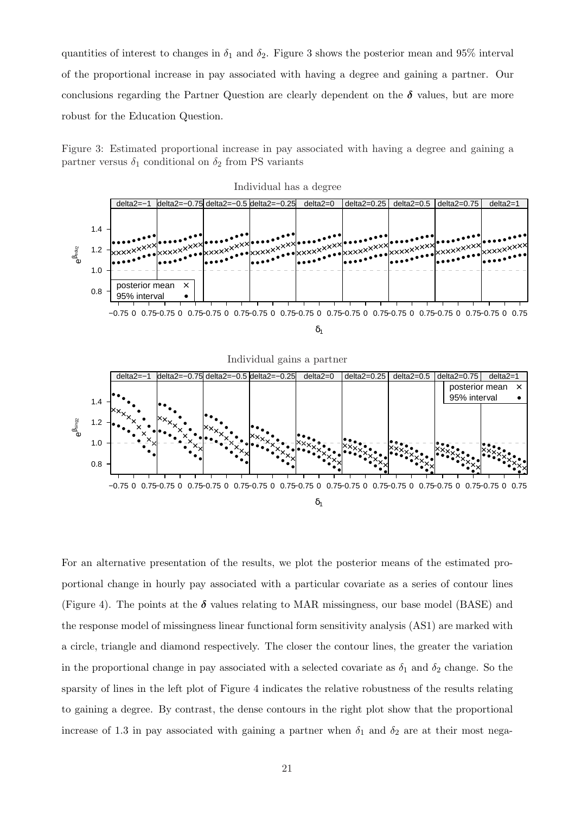quantities of interest to changes in  $\delta_1$  and  $\delta_2$ . Figure 3 shows the posterior mean and 95% interval of the proportional increase in pay associated with having a degree and gaining a partner. Our conclusions regarding the Partner Question are clearly dependent on the  $\delta$  values, but are more robust for the Education Question.

Figure 3: Estimated proportional increase in pay associated with having a degree and gaining a partner versus  $\delta_1$  conditional on  $\delta_2$  from PS variants



For an alternative presentation of the results, we plot the posterior means of the estimated proportional change in hourly pay associated with a particular covariate as a series of contour lines (Figure 4). The points at the  $\delta$  values relating to MAR missingness, our base model (BASE) and the response model of missingness linear functional form sensitivity analysis (AS1) are marked with a circle, triangle and diamond respectively. The closer the contour lines, the greater the variation in the proportional change in pay associated with a selected covariate as  $\delta_1$  and  $\delta_2$  change. So the sparsity of lines in the left plot of Figure 4 indicates the relative robustness of the results relating to gaining a degree. By contrast, the dense contours in the right plot show that the proportional increase of 1.3 in pay associated with gaining a partner when  $\delta_1$  and  $\delta_2$  are at their most nega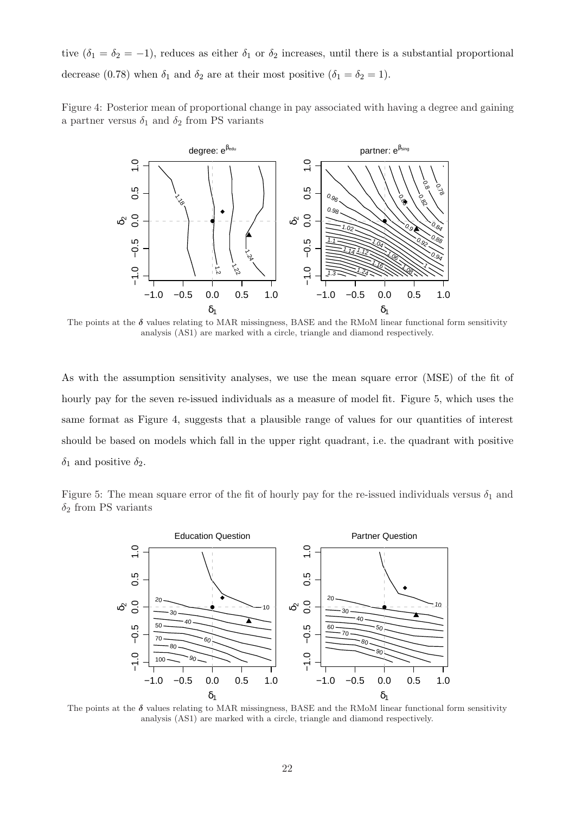tive  $(\delta_1 = \delta_2 = -1)$ , reduces as either  $\delta_1$  or  $\delta_2$  increases, until there is a substantial proportional decrease (0.78) when  $\delta_1$  and  $\delta_2$  are at their most positive ( $\delta_1 = \delta_2 = 1$ ).

Figure 4: Posterior mean of proportional change in pay associated with having a degree and gaining a partner versus  $\delta_1$  and  $\delta_2$  from PS variants



The points at the  $\delta$  values relating to MAR missingness, BASE and the RMoM linear functional form sensitivity analysis (AS1) are marked with a circle, triangle and diamond respectively.

As with the assumption sensitivity analyses, we use the mean square error (MSE) of the fit of hourly pay for the seven re-issued individuals as a measure of model fit. Figure 5, which uses the same format as Figure 4, suggests that a plausible range of values for our quantities of interest should be based on models which fall in the upper right quadrant, i.e. the quadrant with positive  $\delta_1$  and positive  $\delta_2$ .

Figure 5: The mean square error of the fit of hourly pay for the re-issued individuals versus  $\delta_1$  and  $\delta_2$  from PS variants



The points at the  $\delta$  values relating to MAR missingness, BASE and the RMoM linear functional form sensitivity analysis (AS1) are marked with a circle, triangle and diamond respectively.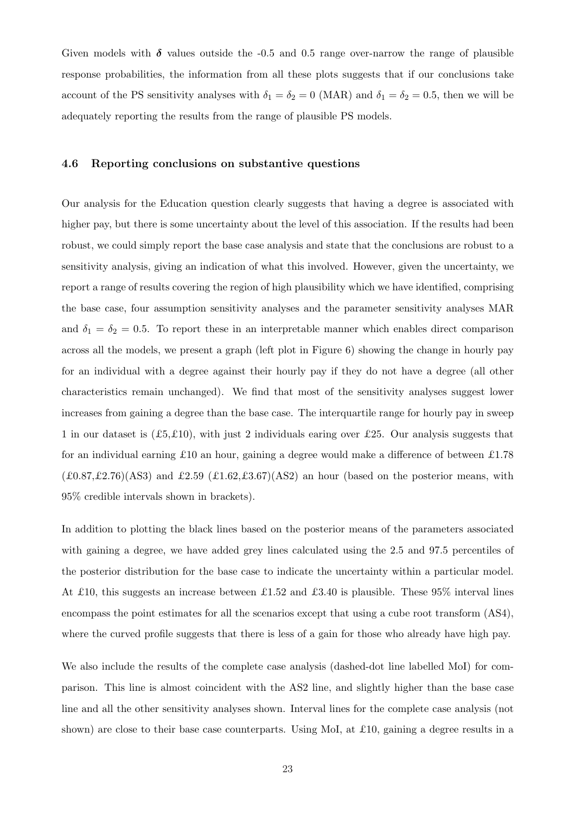Given models with  $\delta$  values outside the -0.5 and 0.5 range over-narrow the range of plausible response probabilities, the information from all these plots suggests that if our conclusions take account of the PS sensitivity analyses with  $\delta_1 = \delta_2 = 0$  (MAR) and  $\delta_1 = \delta_2 = 0.5$ , then we will be adequately reporting the results from the range of plausible PS models.

## 4.6 Reporting conclusions on substantive questions

Our analysis for the Education question clearly suggests that having a degree is associated with higher pay, but there is some uncertainty about the level of this association. If the results had been robust, we could simply report the base case analysis and state that the conclusions are robust to a sensitivity analysis, giving an indication of what this involved. However, given the uncertainty, we report a range of results covering the region of high plausibility which we have identified, comprising the base case, four assumption sensitivity analyses and the parameter sensitivity analyses MAR and  $\delta_1 = \delta_2 = 0.5$ . To report these in an interpretable manner which enables direct comparison across all the models, we present a graph (left plot in Figure 6) showing the change in hourly pay for an individual with a degree against their hourly pay if they do not have a degree (all other characteristics remain unchanged). We find that most of the sensitivity analyses suggest lower increases from gaining a degree than the base case. The interquartile range for hourly pay in sweep 1 in our dataset is  $(E5, E10)$ , with just 2 individuals earing over £25. Our analysis suggests that for an individual earning £10 an hour, gaining a degree would make a difference of between £1.78  $(£0.87, £2.76)(AS3)$  and £2.59  $(£1.62, £3.67)(AS2)$  an hour (based on the posterior means, with 95% credible intervals shown in brackets).

In addition to plotting the black lines based on the posterior means of the parameters associated with gaining a degree, we have added grey lines calculated using the 2.5 and 97.5 percentiles of the posterior distribution for the base case to indicate the uncertainty within a particular model. At £10, this suggests an increase between £1.52 and £3.40 is plausible. These 95% interval lines encompass the point estimates for all the scenarios except that using a cube root transform (AS4), where the curved profile suggests that there is less of a gain for those who already have high pay.

We also include the results of the complete case analysis (dashed-dot line labelled MoI) for comparison. This line is almost coincident with the AS2 line, and slightly higher than the base case line and all the other sensitivity analyses shown. Interval lines for the complete case analysis (not shown) are close to their base case counterparts. Using MoI, at £10, gaining a degree results in a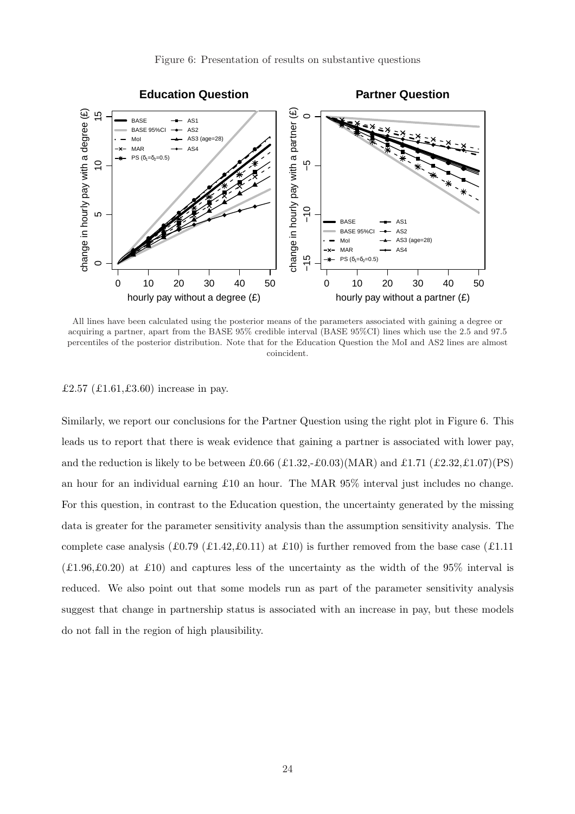

All lines have been calculated using the posterior means of the parameters associated with gaining a degree or acquiring a partner, apart from the BASE 95% credible interval (BASE 95%CI) lines which use the 2.5 and 97.5 percentiles of the posterior distribution. Note that for the Education Question the MoI and AS2 lines are almost coincident.

£2.57 (£1.61,£3.60) increase in pay.

Similarly, we report our conclusions for the Partner Question using the right plot in Figure 6. This leads us to report that there is weak evidence that gaining a partner is associated with lower pay, and the reduction is likely to be between  $\pounds 0.66$  ( $\pounds 1.32, \pounds 0.03$ )(MAR) and  $\pounds 1.71$  ( $\pounds 2.32, \pounds 1.07$ )(PS) an hour for an individual earning £10 an hour. The MAR 95% interval just includes no change. For this question, in contrast to the Education question, the uncertainty generated by the missing data is greater for the parameter sensitivity analysis than the assumption sensitivity analysis. The complete case analysis (£0.79 (£1.42, £0.11) at £10) is further removed from the base case (£1.11)  $(£1.96, £0.20)$  at £10) and captures less of the uncertainty as the width of the 95% interval is reduced. We also point out that some models run as part of the parameter sensitivity analysis suggest that change in partnership status is associated with an increase in pay, but these models do not fall in the region of high plausibility.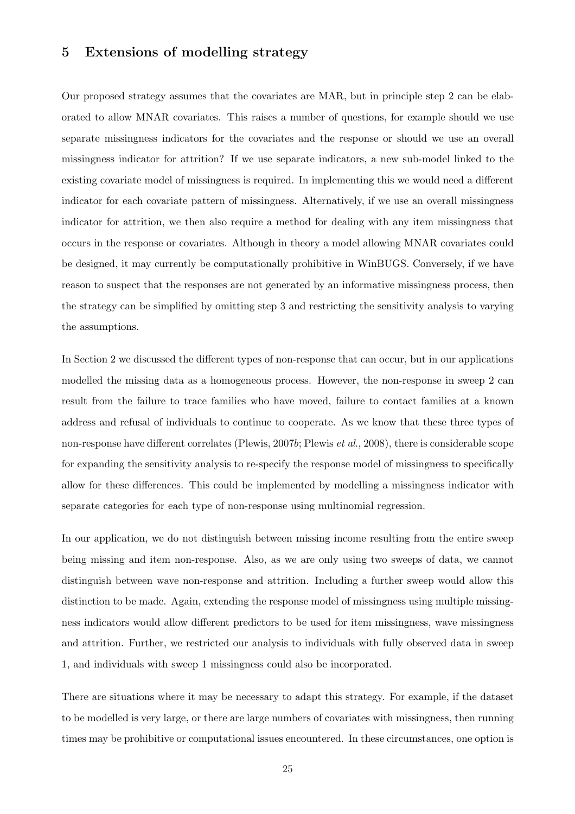# 5 Extensions of modelling strategy

Our proposed strategy assumes that the covariates are MAR, but in principle step 2 can be elaborated to allow MNAR covariates. This raises a number of questions, for example should we use separate missingness indicators for the covariates and the response or should we use an overall missingness indicator for attrition? If we use separate indicators, a new sub-model linked to the existing covariate model of missingness is required. In implementing this we would need a different indicator for each covariate pattern of missingness. Alternatively, if we use an overall missingness indicator for attrition, we then also require a method for dealing with any item missingness that occurs in the response or covariates. Although in theory a model allowing MNAR covariates could be designed, it may currently be computationally prohibitive in WinBUGS. Conversely, if we have reason to suspect that the responses are not generated by an informative missingness process, then the strategy can be simplified by omitting step 3 and restricting the sensitivity analysis to varying the assumptions.

In Section 2 we discussed the different types of non-response that can occur, but in our applications modelled the missing data as a homogeneous process. However, the non-response in sweep 2 can result from the failure to trace families who have moved, failure to contact families at a known address and refusal of individuals to continue to cooperate. As we know that these three types of non-response have different correlates (Plewis, 2007b; Plewis et al., 2008), there is considerable scope for expanding the sensitivity analysis to re-specify the response model of missingness to specifically allow for these differences. This could be implemented by modelling a missingness indicator with separate categories for each type of non-response using multinomial regression.

In our application, we do not distinguish between missing income resulting from the entire sweep being missing and item non-response. Also, as we are only using two sweeps of data, we cannot distinguish between wave non-response and attrition. Including a further sweep would allow this distinction to be made. Again, extending the response model of missingness using multiple missingness indicators would allow different predictors to be used for item missingness, wave missingness and attrition. Further, we restricted our analysis to individuals with fully observed data in sweep 1, and individuals with sweep 1 missingness could also be incorporated.

There are situations where it may be necessary to adapt this strategy. For example, if the dataset to be modelled is very large, or there are large numbers of covariates with missingness, then running times may be prohibitive or computational issues encountered. In these circumstances, one option is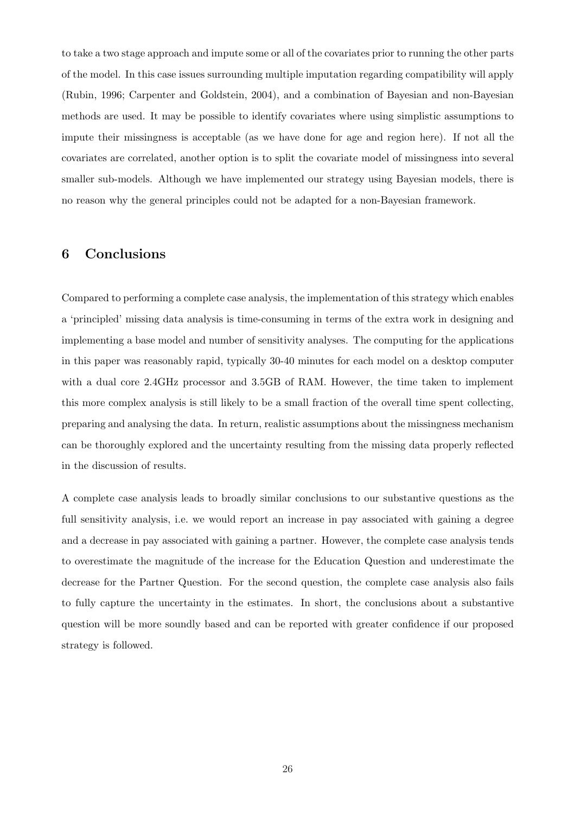to take a two stage approach and impute some or all of the covariates prior to running the other parts of the model. In this case issues surrounding multiple imputation regarding compatibility will apply (Rubin, 1996; Carpenter and Goldstein, 2004), and a combination of Bayesian and non-Bayesian methods are used. It may be possible to identify covariates where using simplistic assumptions to impute their missingness is acceptable (as we have done for age and region here). If not all the covariates are correlated, another option is to split the covariate model of missingness into several smaller sub-models. Although we have implemented our strategy using Bayesian models, there is no reason why the general principles could not be adapted for a non-Bayesian framework.

# 6 Conclusions

Compared to performing a complete case analysis, the implementation of this strategy which enables a 'principled' missing data analysis is time-consuming in terms of the extra work in designing and implementing a base model and number of sensitivity analyses. The computing for the applications in this paper was reasonably rapid, typically 30-40 minutes for each model on a desktop computer with a dual core 2.4GHz processor and 3.5GB of RAM. However, the time taken to implement this more complex analysis is still likely to be a small fraction of the overall time spent collecting, preparing and analysing the data. In return, realistic assumptions about the missingness mechanism can be thoroughly explored and the uncertainty resulting from the missing data properly reflected in the discussion of results.

A complete case analysis leads to broadly similar conclusions to our substantive questions as the full sensitivity analysis, i.e. we would report an increase in pay associated with gaining a degree and a decrease in pay associated with gaining a partner. However, the complete case analysis tends to overestimate the magnitude of the increase for the Education Question and underestimate the decrease for the Partner Question. For the second question, the complete case analysis also fails to fully capture the uncertainty in the estimates. In short, the conclusions about a substantive question will be more soundly based and can be reported with greater confidence if our proposed strategy is followed.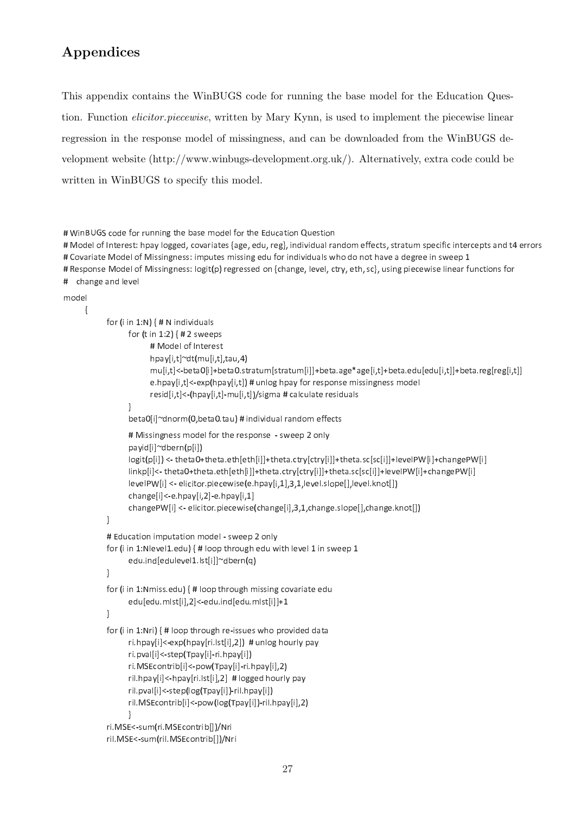# Appendices

This appendix contains the WinBUGS code for running the base model for the Education Question. Function *elicitor.piecewise*, written by Mary Kynn, is used to implement the piecewise linear regression in the response model of missingness, and can be downloaded from the WinBUGS development website (http://www.winbugs-development.org.uk/). Alternatively, extra code could be written in WinBUGS to specify this model.

```
\mu say become and \mu and \mu is the set of \alpha is the set of \alpha
```
was allowed the complete the complete the complete the complete the complete the complete the complete the complete the complete the complete the complete the complete the complete the complete the complete the complete th  $H\cap \mathcal{L}=\{x\in \mathcal{L}: x\in \mathcal{L}: x\in \mathcal{L}: x\in \mathcal{L}: x\in \mathcal{L}: x\in \mathcal{L}: x\in \mathcal{L}: x\in \mathcal{L}: x\in \mathcal{L}: x\in \mathcal{L}: x\in \mathcal{L}: x\in \mathcal{L}: x\in \mathcal{L}: x\in \mathcal{L}: x\in \mathcal{L}: x\in \mathcal{L}: x\in \mathcal{L}: x\in \mathcal{L}: x\in \mathcal{L}: x\in \mathcal{L}: x\in \mathcal{L}: x\in \mathcal{L}: x\in \mathcal{L}: x\$ # Response Model of Missingness: logit(p) regressed on {change, level, ctry, eth, sc}, using piecewise linear functions for  $\frac{1}{2}$  . The contract of the contract of the contract of the contract of the contract of the contract of the contract of the contract of the contract of the contract of the contract of the contract of the contract of t

```
المساهد ومنادر
```

```
\{	
 '-
 -
 %)(  ) -

-
-

             for (t in 1:2) { # 2 sweeps
                   \mathbf{u} b \mathbf{u} b \mathbf{u} c c c c c c c
                   hpay[i,t]~dt(mu[i,t],tau,4)
                   +-
,./0+-
,102
+
+-
,,123+-
,12
+
+-
,,12
+
+-
,,
                   e.hpay[i,t]<-exp(hpay[i,t]) # unlog hpay for response missingness model
                   resid[i,t]<-(hpay[i,t]-mu[i,t])/sigma # calculate residuals
             !
             beta0[i]~dnorm(0,beta0.tau)                                   # individual random effects
             \mathbf{u} , and \mathbf{v} are assumed to the contract of the contract of the contract of the contract of the contract of the contract of the contract of the contract of the contract of the contract of the contract of the co
             payid[i]~dbern(p[i])
             \textsf{logit(p[i]}< <- theta0+theta.eth[eth[i]]+theta.ctry[ctry[i]]+theta.sc[sc[i]]+levelPW[i]+changePW[i]
             - DAME و محموله بـ DAME و بيما بـ الكوملوم منه ما بـ الكومية و بيما بـ الكوما ما منه منه ما بـ O منه ما بـ المراجبا
             \lceil \mathsf{levelPW}[i] \rceil <- elicitor piecewise(e hpay[i,1],3,1,level slope[],level knot[])
             +-
,./2+-
*,/2+-
%,
             changePW[i] <- elicitor piecewise(change[i],3,1,change slope[],change knot[])
      !

-
	 -
-

 / $ * 	
      for (i in 1:Nlevel1.edu) { # loop through edu with level 1 in sweep 1 \,edu.ind[edulevel1.lst[i]]~dbern(q)
      !
      for (i in 1:Nmiss.edu) { # loop through missing covariate edu

+
2+-
,*,./
2-

+
2+-
,,1%
      !
      for (i in 1:Nri) { # loop through re-issues who provided data
             ri.hpay[i]<-exp(hpay[ri.lst[i],2])  # unlog hourly pay
             ri pval[i]<-step(Tpay[i]-ri hpay[i])
             ri MSEcontrib[i]<-pow(Tpay[i]-ri hpay[i],2)

-
2+-
,./+
-
2+-
,*,  	

             ril.pval[i]<-step(log(Tpay[i])-ril.hpay[i])
             ril.MSEcontrib[i]<-pow(log(Tpay[i])-ril.hpay[i],2)
            !
      ri MSE<-sum(ri MSEcontrib[])/Nri
      ril MSE<-sum(ril MSEcontrib[])/Nri
```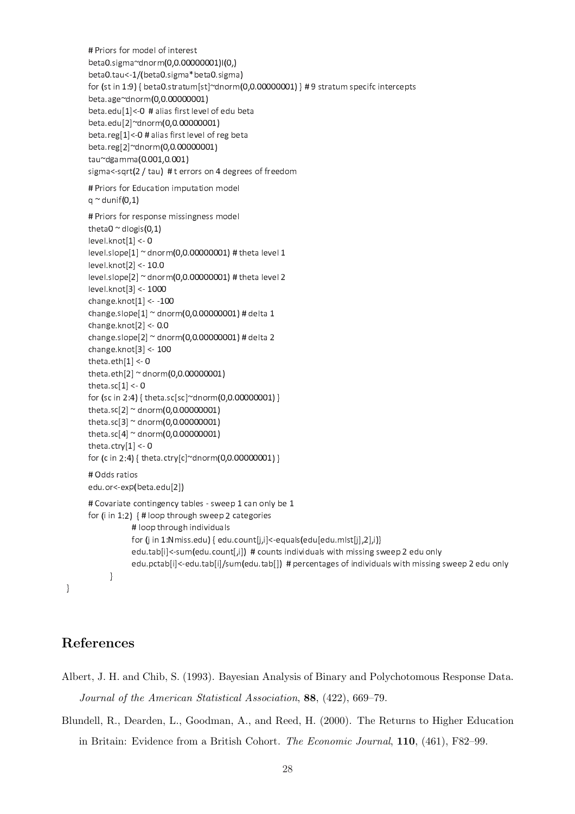```
\cdots . The set of the set of the set of the set of the set of the set of the set of the set of the set of the set of the set of the set of the set of the set of the set of the set of the set of the set of the set of the 
heta0 sigma~dnorm(0.0.00000001)I(0.)
beta0.tau<-1/(beta0.sigma*beta0.sigma)
for (st in 1.9) { beta0 stratum[st]~dnorm(0.0.00000001) } # 9 stratum specifc intercents
heta age~dnorm(0.0.00000001)
\mathbf{r} . If all \mathbf{r} is the set of \mathbf{r} is the set of \mathbf{r}heta edul 21~dnorm (0.0.0000001)
\mathbf{r} . The contract of the contract of the contract of the contract of the contract of the contract of the contract of the contract of the contract of the contract of the contract of the contract of the contract of th
heta reg[2]~dnorm(0.0.00000001)
tau~dgamma(0.001,0.001)
sigma<-sqrt(2 / tau)  # t errors on 4 degrees of freedom
 -
-
 -
 )$ # 	
q ~ dunif(0,1)
 -
-
 -
 -
	#	 	 	
theta0 ~ dlogis(0-1)

	%	
+ !  
level slope[1] \sim dnorm(0.0.00000001) # theta level 1

	%	
+ &!  
level slope[2] \approx dnorm(0.0.00000001) # theta level 2 \,
	%	
+ ,!  
change knot[1] < -100
\frac{1}{2} change slope [1] ^{\circ} dnorm(0.0.0000001) # delta 1
change knot [2] < 0.0\frac{1}{2} change slope [2] ^{\circ} dnorm(0.0.0000001) # delta 2
change knot[3] < 100theta eth[1] < 0theta eth[2] ~ dnorm(0.0.00000001)
theta.sc[1] < 0\frac{1}{2} \int_0^{\pi} \frac{1}{2} \sin(2\pi t) \sin(2\pi t) \sin(2\pi t) \sin(2\pi t) \sin(2\pi t) \sin(2\pi t) \sin(2\pi t) \sin(2\pi t) \sin(2\pi t) \sin(2\pi t) \sin(2\pi t) \sin(2\pi t) \sin(2\pi t) \sin(2\pi t) \sin(2\pi t) \sin(2\pi t) \sin(2\pi t) \sin(2\pi t) \sin(2\pi t) \sin(2\pi t) \sin(2\pi t) \sin(2\pi t) \sin(2\pi t) \sin(2\pi t) \sin(2\pitheta sc[2] ~ dnorm(0.0.00000001)
theta sc[3] ~ dnorm(0,0,0000001)
theta sc[4] ~ dnorm(0,0,00000001)
\mathbf{H} . Talent \mathbf{A}\frac{1}{2} for (c in 2:4) { theta ctry[c]~dnorm(0.0.0000001) }
\mathbf{u}. \mathbf{v} . \mathbf{v} . The set of \mathbf{v}\mu , \mu , \mu , \mu , \mu , \mu , \mu , \mu , \mu , \mu , \mu , \mu , \mu\mathbf{u} \bullet \mathbf{v} = \mathbf{u} \bullet \mathbf{v} , and the set of the set of the set of the set of the set of the set of the set of the set of the set of the set of the set of the set of the set of the set of the set of the set of the set
\mathbf{r} and \mathbf{r} is the set of \mathbf{r}للمن المن المناسبة والمنتجد والعسوم والله
                  for (j in 1:Nmiss.edu) { edu.count[j,i]<-equals(edu[edu.mlst[j],2],i)}
                  edu tablil<-sum(edu count[.i]) \# counts individuals with missing sweep 2 edu only
                  برامزم رواحد في محدود مساحد والمساحد والمرادات الرواحة ومحمومات والكامل المستمل المستمل المحامل والمستقر والملحد والمستحد
        "
```
# References

"

- Albert, J. H. and Chib, S. (1993). Bayesian Analysis of Binary and Polychotomous Response Data. Journal of the American Statistical Association, 88, (422), 669–79.
- Blundell, R., Dearden, L., Goodman, A., and Reed, H. (2000). The Returns to Higher Education in Britain: Evidence from a British Cohort. The Economic Journal, 110, (461), F82–99.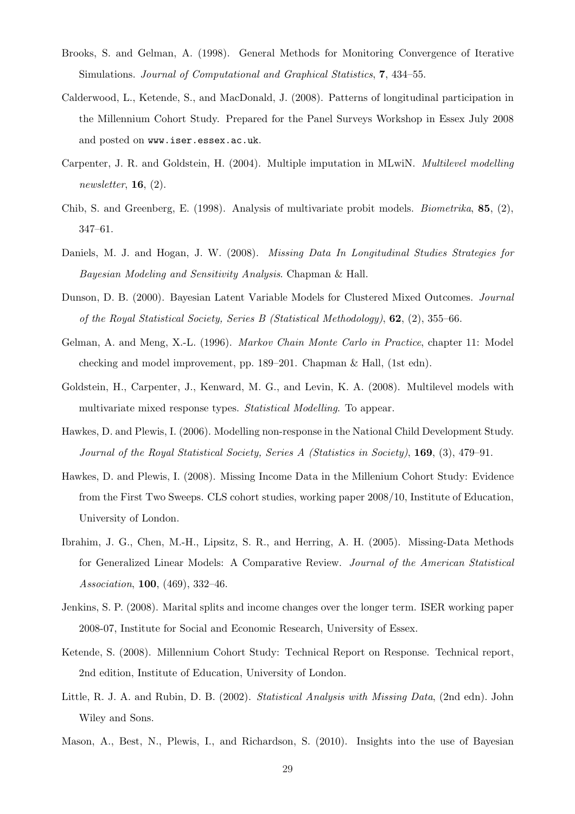- Brooks, S. and Gelman, A. (1998). General Methods for Monitoring Convergence of Iterative Simulations. Journal of Computational and Graphical Statistics, 7, 434–55.
- Calderwood, L., Ketende, S., and MacDonald, J. (2008). Patterns of longitudinal participation in the Millennium Cohort Study. Prepared for the Panel Surveys Workshop in Essex July 2008 and posted on www.iser.essex.ac.uk.
- Carpenter, J. R. and Goldstein, H. (2004). Multiple imputation in MLwiN. Multilevel modelling newsletter,  $16, (2)$ .
- Chib, S. and Greenberg, E. (1998). Analysis of multivariate probit models. Biometrika, 85, (2), 347–61.
- Daniels, M. J. and Hogan, J. W. (2008). *Missing Data In Longitudinal Studies Strategies for* Bayesian Modeling and Sensitivity Analysis. Chapman & Hall.
- Dunson, D. B. (2000). Bayesian Latent Variable Models for Clustered Mixed Outcomes. Journal of the Royal Statistical Society, Series B (Statistical Methodology), 62, (2), 355–66.
- Gelman, A. and Meng, X.-L. (1996). Markov Chain Monte Carlo in Practice, chapter 11: Model checking and model improvement, pp. 189–201. Chapman & Hall, (1st edn).
- Goldstein, H., Carpenter, J., Kenward, M. G., and Levin, K. A. (2008). Multilevel models with multivariate mixed response types. Statistical Modelling. To appear.
- Hawkes, D. and Plewis, I. (2006). Modelling non-response in the National Child Development Study. Journal of the Royal Statistical Society, Series A (Statistics in Society), 169, (3), 479–91.
- Hawkes, D. and Plewis, I. (2008). Missing Income Data in the Millenium Cohort Study: Evidence from the First Two Sweeps. CLS cohort studies, working paper 2008/10, Institute of Education, University of London.
- Ibrahim, J. G., Chen, M.-H., Lipsitz, S. R., and Herring, A. H. (2005). Missing-Data Methods for Generalized Linear Models: A Comparative Review. Journal of the American Statistical Association, 100, (469), 332–46.
- Jenkins, S. P. (2008). Marital splits and income changes over the longer term. ISER working paper 2008-07, Institute for Social and Economic Research, University of Essex.
- Ketende, S. (2008). Millennium Cohort Study: Technical Report on Response. Technical report, 2nd edition, Institute of Education, University of London.
- Little, R. J. A. and Rubin, D. B. (2002). Statistical Analysis with Missing Data, (2nd edn). John Wiley and Sons.
- Mason, A., Best, N., Plewis, I., and Richardson, S. (2010). Insights into the use of Bayesian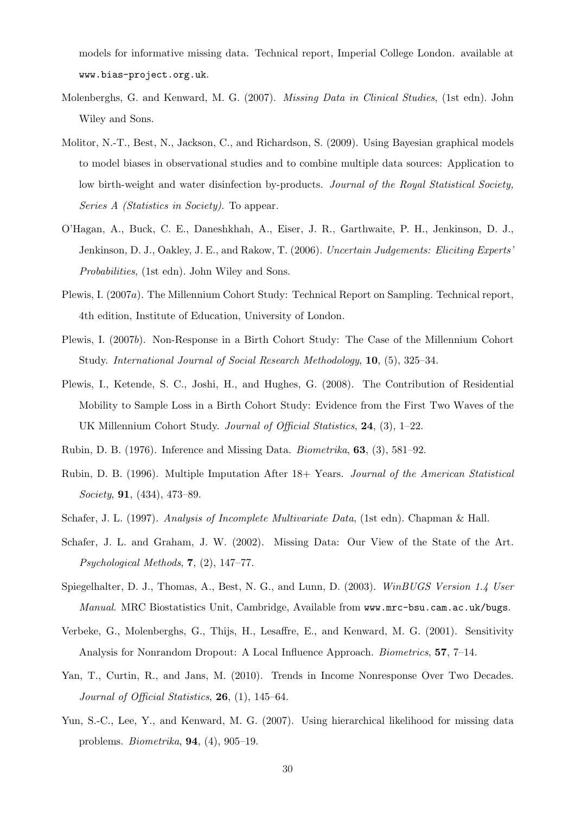models for informative missing data. Technical report, Imperial College London. available at www.bias-project.org.uk.

- Molenberghs, G. and Kenward, M. G. (2007). Missing Data in Clinical Studies, (1st edn). John Wiley and Sons.
- Molitor, N.-T., Best, N., Jackson, C., and Richardson, S. (2009). Using Bayesian graphical models to model biases in observational studies and to combine multiple data sources: Application to low birth-weight and water disinfection by-products. Journal of the Royal Statistical Society, Series A *(Statistics in Society)*. To appear.
- O'Hagan, A., Buck, C. E., Daneshkhah, A., Eiser, J. R., Garthwaite, P. H., Jenkinson, D. J., Jenkinson, D. J., Oakley, J. E., and Rakow, T. (2006). Uncertain Judgements: Eliciting Experts' Probabilities, (1st edn). John Wiley and Sons.
- Plewis, I. (2007a). The Millennium Cohort Study: Technical Report on Sampling. Technical report, 4th edition, Institute of Education, University of London.
- Plewis, I. (2007b). Non-Response in a Birth Cohort Study: The Case of the Millennium Cohort Study. International Journal of Social Research Methodology, 10, (5), 325–34.
- Plewis, I., Ketende, S. C., Joshi, H., and Hughes, G. (2008). The Contribution of Residential Mobility to Sample Loss in a Birth Cohort Study: Evidence from the First Two Waves of the UK Millennium Cohort Study. Journal of Official Statistics, 24, (3), 1–22.
- Rubin, D. B. (1976). Inference and Missing Data. Biometrika,  $63$ ,  $(3)$ ,  $581-92$ .
- Rubin, D. B. (1996). Multiple Imputation After 18+ Years. Journal of the American Statistical Society, 91, (434), 473–89.
- Schafer, J. L. (1997). Analysis of Incomplete Multivariate Data, (1st edn). Chapman & Hall.
- Schafer, J. L. and Graham, J. W. (2002). Missing Data: Our View of the State of the Art. Psychological Methods, 7, (2), 147–77.
- Spiegelhalter, D. J., Thomas, A., Best, N. G., and Lunn, D. (2003). WinBUGS Version 1.4 User Manual. MRC Biostatistics Unit, Cambridge, Available from www.mrc-bsu.cam.ac.uk/bugs.
- Verbeke, G., Molenberghs, G., Thijs, H., Lesaffre, E., and Kenward, M. G. (2001). Sensitivity Analysis for Nonrandom Dropout: A Local Influence Approach. Biometrics, 57, 7–14.
- Yan, T., Curtin, R., and Jans, M. (2010). Trends in Income Nonresponse Over Two Decades. Journal of Official Statistics, **26**, (1), 145–64.
- Yun, S.-C., Lee, Y., and Kenward, M. G. (2007). Using hierarchical likelihood for missing data problems. Biometrika, 94, (4), 905–19.